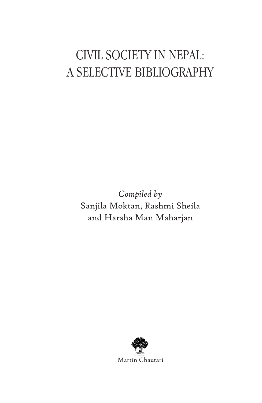# CIVIL SOCIETY IN NEPAL: A SELECTIVE BIBLIOGRAPHY

*Compiled by* Sanjila Moktan, Rashmi Sheila and Harsha Man Maharjan

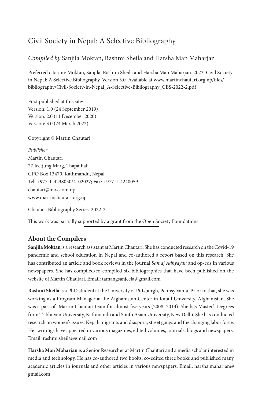## Civil Society in Nepal: A Selective Bibliography

#### *Compiled by* Sanjila Moktan, Rashmi Sheila and Harsha Man Maharjan

Preferred citation: Moktan, Sanjila, Rashmi Sheila and Harsha Man Maharjan. 2022. Civil Society in Nepal: A Selective Bibliography. Version 3.0. Available at www.martinchautari.org.np/files/ bibliography/Civil-Society-in-Nepal\_A-Selective-Bibliography\_CBS-2022-2.pdf

First published at this site: Version: 1.0 (24 September 2019) Version: 2.0 (11 December 2020) Version: 3.0 (24 March 2022)

Copyright © Martin Chautari

*Publisher* Martin Chautari 27 Jeetjung Marg, Thapathali GPO Box 13470, Kathmandu, Nepal Tel: +977-1-4238050/4102027; Fax: +977-1-4240059 chautari@mos.com.np www.martinchautari.org.np

Chautari Bibliography Series: 2022-2

This work was partially supported by a grant from the Open Society Foundations.

#### **About the Compilers**

**Sanjila Moktan** is a research assistant at Martin Chautari. She has conducted research on the Covid-19 pandemic and school education in Nepal and co-authored a report based on this research. She has contributed an article and book reviews in the journal *Samaj Adhyayan* and op-eds in various newspapers. She has compiled/co-compiled six bibliographies that have been published on the website of Martin Chautari. Email: tamangsanjeela@gmail.com

**Rashmi Sheila** is a PhD student at the University of Pittsburgh, Pennsylvania. Prior to that, she was working as a Program Manager at the Afghanistan Center in Kabul University, Afghanistan. She was a part of Martin Chautari team for almost five years (2008–2013). She has Master's Degrees from Tribhuvan University, Kathmandu and South Asian University, New Delhi. She has conducted research on women's issues, Nepali migrants and diaspora, street gangs and the changing labor force. Her writings have appeared in various magazines, edited volumes, journals, blogs and newspapers. Email: rashmi.sheila@gmail.com

**Harsha Man Maharjan** is a Senior Researcher at Martin Chautari and a media scholar interested in media and technology. He has co-authored two books, co-edited three books and published many academic articles in journals and other articles in various newspapers. Email: harsha.maharjan@ gmail.com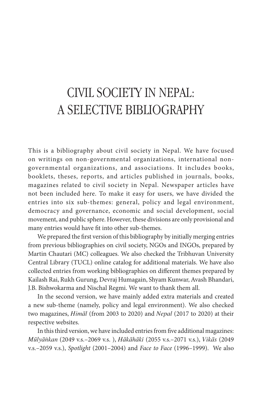# CIVIL SOCIETY IN NEPAL: A SELECTIVE BIBLIOGRAPHY

This is a bibliography about civil society in Nepal. We have focused on writings on non-governmental organizations, international nongovernmental organizations, and associations. It includes books, booklets, theses, reports, and articles published in journals, books, magazines related to civil society in Nepal. Newspaper articles have not been included here. To make it easy for users, we have divided the entries into six sub-themes: general, policy and legal environment, democracy and governance, economic and social development, social movement, and public sphere. However, these divisions are only provisional and many entries would have fit into other sub-themes.

We prepared the first version of this bibliography by initially merging entries from previous bibliographies on civil society, NGOs and INGOs, prepared by Martin Chautari (MC) colleagues. We also checked the Tribhuvan University Central Library (TUCL) online catalog for additional materials. We have also collected entries from working bibliographies on different themes prepared by Kailash Rai, Rukh Gurung, Devraj Humagain, Shyam Kunwar, Avash Bhandari, J.B. Bishwokarma and Nischal Regmi. We want to thank them all.

In the second version, we have mainly added extra materials and created a new sub-theme (namely, policy and legal environment). We also checked two magazines, *Himàl* (from 2003 to 2020) and *Nepal* (2017 to 2020) at their respective websites.

In this third version, we have included entries from five additional magazines: *Målyàïkan* (2049 v.s.–2069 v.s. ), *Hàkàhàkã* (2055 v.s.–2071 v.s.), *Vikàs* (2049 v.s.–2059 v.s.), *Spotlight* (2001–2004) and *Face to Face* (1996–1999). We also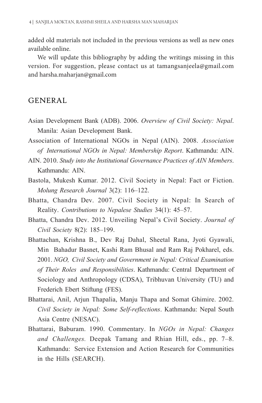added old materials not included in the previous versions as well as new ones available online.

We will update this bibliography by adding the writings missing in this version. For suggestion, please contact us at tamangsanjeela@gmail.com and harsha.maharjan@gmail.com

#### GENERAL

- Asian Development Bank (ADB). 2006. *Overview of Civil Society: Nepal*. Manila: Asian Development Bank.
- Association of International NGOs in Nepal (AIN). 2008. *Association of International NGOs in Nepal: Membership Report*. Kathmandu: AIN.
- AIN. 2010. *Study into the Institutional Governance Practices of AIN Members*. Kathmandu: AIN.
- Bastola, Mukesh Kumar. 2012. Civil Society in Nepal: Fact or Fiction. *Molung Research Journal* 3(2): 116–122.
- Bhatta, Chandra Dev. 2007. Civil Society in Nepal: In Search of Reality. *Contributions to Nepalese Studies* 34(1): 45–57.
- Bhatta, Chandra Dev. 2012. Unveiling Nepal's Civil Society. *Journal of Civil Society* 8(2): 185–199.
- Bhattachan, Krishna B., Dev Raj Dahal, Sheetal Rana, Jyoti Gyawali, Min Bahadur Basnet, Kashi Ram Bhusal and Ram Raj Pokharel, eds. 2001. *NGO, Civil Society and Government in Nepal: Critical Examination of Their Roles and Responsibilities*. Kathmandu: Central Department of Sociology and Anthropology (CDSA), Tribhuvan University (TU) and Frederich Ebert Stiftung (FES).
- Bhattarai, Anil, Arjun Thapalia, Manju Thapa and Somat Ghimire. 2002. *Civil Society in Nepal: Some Self-reflections*. Kathmandu: Nepal South Asia Centre (NESAC).
- Bhattarai, Baburam. 1990. Commentary. In *NGOs in Nepal: Changes and Challenges.* Deepak Tamang and Rhian Hill, eds., pp. 7–8. Kathmandu: Service Extension and Action Research for Communities in the Hills (SEARCH).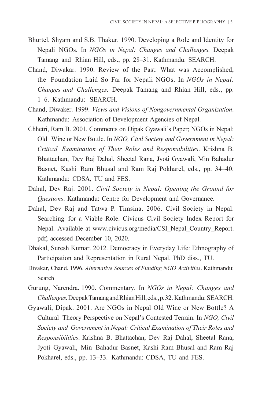- Bhurtel, Shyam and S.B. Thakur. 1990. Developing a Role and Identity for Nepali NGOs. In *NGOs in Nepal: Changes and Challenges.* Deepak Tamang and Rhian Hill, eds., pp. 28–31. Kathmandu: SEARCH.
- Chand, Diwakar. 1990. Review of the Past: What was Accomplished, the Foundation Laid So Far for Nepali NGOs. In *NGOs in Nepal: Changes and Challenges.* Deepak Tamang and Rhian Hill, eds., pp. 1–6. Kathmandu: SEARCH.
- Chand, Diwaker. 1999. *Views and Visions of Nongovernmental Organization*. Kathmandu: Association of Development Agencies of Nepal.
- Chhetri, Ram B. 2001. Comments on Dipak Gyawali's Paper; NGOs in Nepal: Old Wine or New Bottle. In *NGO, Civil Society and Government in Nepal: Critical Examination of Their Roles and Responsibilities*. Krishna B. Bhattachan, Dev Raj Dahal, Sheetal Rana, Jyoti Gyawali, Min Bahadur Basnet, Kashi Ram Bhusal and Ram Raj Pokharel, eds., pp. 34–40. Kathmandu: CDSA, TU and FES.
- Dahal, Dev Raj. 2001. *Civil Society in Nepal: Opening the Ground for Questions*. Kathmandu: Centre for Development and Governance.
- Dahal, Dev Raj and Tatwa P. Timsina. 2006. Civil Society in Nepal: Searching for a Viable Role. Civicus Civil Society Index Report for Nepal. Available at www.civicus.org/media/CSI\_Nepal\_Country\_Report. pdf; accessed December 10, 2020.
- Dhakal, Suresh Kumar. 2012. Democracy in Everyday Life: Ethnography of Participation and Representation in Rural Nepal. PhD diss., TU.
- Divakar, Chand. 1996. *Alternative Sources of Funding NGO Activities*. Kathmandu: Search
- Gurung, Narendra. 1990. Commentary. In *NGOs in Nepal: Changes and Challenges.* Deepak Tamang and Rhian Hill, eds., p. 32. Kathmandu: SEARCH.
- Gyawali, Dipak. 2001. Are NGOs in Nepal Old Wine or New Bottle? A Cultural Theory Perspective on Nepal's Contested Terrain. In *NGO, Civil Society and Government in Nepal: Critical Examination of Their Roles and Responsibilities*. Krishna B. Bhattachan, Dev Raj Dahal, Sheetal Rana, Jyoti Gyawali, Min Bahadur Basnet, Kashi Ram Bhusal and Ram Raj Pokharel, eds., pp. 13–33. Kathmandu: CDSA, TU and FES.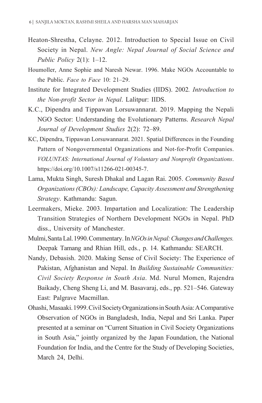- Heaton-Shrestha, Celayne. 2012. Introduction to Special Issue on Civil Society in Nepal. *New Angle: Nepal Journal of Social Science and Public Policy* 2(1): 1–12.
- Houmoller, Anne Sophie and Naresh Newar. 1996. Make NGOs Accountable to the Public. *Face to Face* 10: 21–29.
- Institute for Integrated Development Studies (IIDS). 2002*. Introduction to the Non-profit Sector in Nepal*. Lalitpur: IIDS.
- K.C., Dipendra and Tippawan Lorsuwannarat. 2019. Mapping the Nepali NGO Sector: Understanding the Evolutionary Patterns. *Research Nepal Journal of Development Studies* 2(2): 72–89.
- KC, Dipendra, Tippawan Lorsuwannarat. 2021. Spatial Differences in the Founding Pattern of Nongovernmental Organizations and Not-for-Profit Companies. *VOLUNTAS: International Journal of Voluntary and Nonprofit Organizations*. https://doi.org/10.1007/s11266-021-00345-7.
- Lama, Mukta Singh, Suresh Dhakal and Lagan Rai. 2005. *Community Based Organizations (CBOs): Landscape, Capacity Assessment and Strengthening Strategy*. Kathmandu: Sagun.
- Leermakers, Mieke. 2003. Impartation and Localization: The Leadership Transition Strategies of Northern Development NGOs in Nepal. PhD diss., University of Manchester.
- Mulmi, Santa Lal. 1990. Commentary. In *NGOs in Nepal: Changes and Challenges.*  Deepak Tamang and Rhian Hill, eds., p. 14. Kathmandu: SEARCH.
- Nandy, Debasish. 2020. Making Sense of Civil Society: The Experience of Pakistan, Afghanistan and Nepal. In *Building Sustainable Communities: Civil Society Response in South Asia*. Md. Nurul Momen, Rajendra Baikady, Cheng Sheng Li, and M. Basavaraj, eds., pp. 521–546. Gateway East: Palgrave Macmillan.
- Ohashi, Masaaki. 1999. Civil Society Organizations in South Asia: A Comparative Observation of NGOs in Bangladesh, India, Nepal and Sri Lanka. Paper presented at a seminar on "Current Situation in Civil Society Organizations in South Asia," jointly organized by the Japan Foundation, the National Foundation for India, and the Centre for the Study of Developing Societies, March 24, Delhi.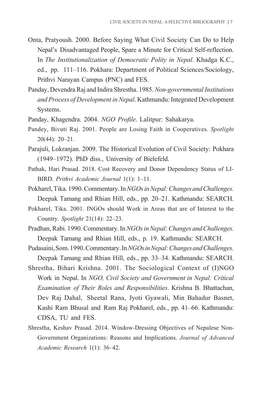- Onta, Pratyoush. 2000. Before Saying What Civil Society Can Do to Help Nepal's Disadvantaged People, Spare a Minute for Critical Self-reflection. In *The Institutionalization of Democratic Polity in Nepal.* Khadga K.C., ed., pp. 111–116. Pokhara: Department of Political Sciences/Sociology, Prithvi Narayan Campus (PNC) and FES.
- Panday, Devendra Raj and Indira Shrestha. 1985. *Non-governmental Institutions and Process of Development in Nepal*. Kathmandu: Integrated Development Systems.
- Panday, Khagendra. 2004. *NGO Profile*. Lalitpur: Sahakarya.
- Pandey, Bivuti Raj. 2001. People are Losing Faith in Cooperatives. *Spotlight* 20(44): 20–21.
- Parajuli, Lokranjan. 2009. The Historical Evolution of Civil Society: Pokhara (1949–1972). PhD diss., University of Bielefeld.
- Pathak, Hari Prasad. 2018. Cost Recovery and Donor Dependency Status of LI-BIRD. *Prithvi Academic Journal* 1(1): 1–11.
- Pokharel, Tika. 1990. Commentary. In *NGOs in Nepal: Changes and Challenges.*  Deepak Tamang and Rhian Hill, eds., pp. 20–21. Kathmandu: SEARCH.
- Pokharel, Tika. 2001. INGOs should Work in Areas that are of Interest to the Country. *Spotlight* 21(14): 22–23.
- Pradhan, Rabi. 1990. Commentary. In *NGOs in Nepal: Changes and Challenges.*  Deepak Tamang and Rhian Hill, eds., p. 19. Kathmandu: SEARCH.
- Pudasaini, Som. 1990. Commentary. In *NGOs in Nepal: Changes and Challenges.*  Deepak Tamang and Rhian Hill, eds., pp. 33–34. Kathmandu: SEARCH.
- Shrestha, Bihari Krishna. 2001. The Sociological Context of (I)NGO Work in Nepal. In *NGO, Civil Society and Government in Nepal: Critical Examination of Their Roles and Responsibilities*. Krishna B. Bhattachan, Dev Raj Dahal, Sheetal Rana, Jyoti Gyawali, Min Bahadur Basnet, Kashi Ram Bhusal and Ram Raj Pokharel, eds., pp. 41–66. Kathmandu: CDSA, TU and FES.
- Shrestha, Keshav Prasad. 2014. Window-Dressing Objectives of Nepalese Non-Government Organizations: Reasons and Implications. *Journal of Advanced Academic Research* 1(1): 36–42.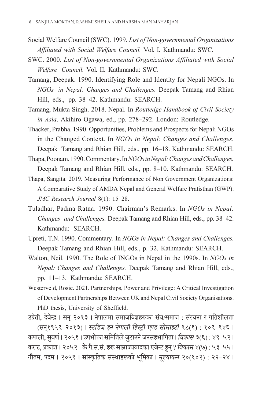- Social Welfare Council (SWC). 1999. *List of Non-governmental Organizations Affiliated with Social Welfare Council.* Vol. I*.* Kathmandu: SWC.
- SWC. 2000. *List of Non-governmental Organizations Affiliated with Social Welfare Council.* Vol. II*.* Kathmandu: SWC.
- Tamang, Deepak. 1990. Identifying Role and Identity for Nepali NGOs. In *NGOs in Nepal: Changes and Challenges.* Deepak Tamang and Rhian Hill, eds., pp. 38–42. Kathmandu: SEARCH.
- Tamang, Mukta Singh. 2018. Nepal. In *Routledge Handbook of Civil Society in Asia*. Akihiro Ogawa, ed., pp. 278–292. London: Routledge.
- Thacker, Prabha. 1990. Opportunities, Problems and Prospects for Nepali NGOs in the Changed Context. In *NGOs in Nepal: Changes and Challenges.*  Deepak Tamang and Rhian Hill, eds., pp. 16–18. Kathmandu: SEARCH.
- Thapa, Poonam. 1990. Commentary. In *NGOs in Nepal: Changes and Challenges.* Deepak Tamang and Rhian Hill, eds., pp. 8–10. Kathmandu: SEARCH.
- Thapa, Sangita. 2019. Measuring Performance of Non Government Organizations: A Comparative Study of AMDA Nepal and General Welfare Pratisthan (GWP). *JMC Research Journal* 8(1): 15–28.
- Tuladhar, Padma Ratna. 1990. Chairman's Remarks. In *NGOs in Nepal: Changes and Challenges.* Deepak Tamang and Rhian Hill, eds., pp. 38–42. Kathmandu: SEARCH.
- Upreti, T.N. 1990. Commentary. In *NGOs in Nepal: Changes and Challenges.*  Deepak Tamang and Rhian Hill, eds., p. 32. Kathmandu: SEARCH.
- Walton, Neil. 1990. The Role of INGOs in Nepal in the 1990s. In *NGOs in Nepal: Changes and Challenges.* Deepak Tamang and Rhian Hill, eds., pp. 11–13. Kathmandu: SEARCH.
- Westerveld, Rosie. 2021. Partnerships, Power and Privilege: A Critical Investigation of Development Partnerships Between UK and Nepal Civil Society Organisations. PhD thesis, University of Sheffield.

उप्रेती, देवेन्द्र । सन् २०१३ । नेपालमा समाजविज्ञहरूका संघ/समाज : संरचना र गतिशीलता (सन्१९५९–२०१३) । स्टडिज इन नेपाली हिस्ट्री एण्ड सोसाइटी १८(१) : १०९–१४६ । कपाली, सवर्ण । २०५१ । उपभोक्ता समितिले जुटाउने जनसहभागिता । *विकास* ३(६) : ४९–५२ । कराट, प्रकाश। २०५२। के गै.स.सं. हरू साम्राज्यवादका एजेन्ट हुन् ? *विकास ४*(७) : ५३–५५। गौतम, पदम । २०५९ । सां स्कृतिक सं स्थाहरूको भमिू का । *मल्ू यां कन* २०(१०२) : २२–२४ ।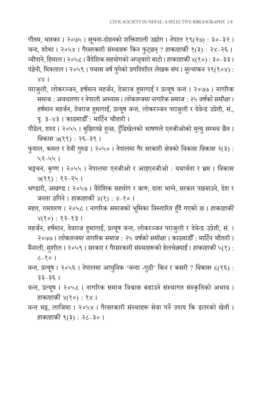गौतम, भास्कर । २०७५ । सचना-दोहनको श ू क्तिशाली उद्योग । *नेपाल* १९(२७) : ३०–३२ । चन्द, शोभा । २०५४ । गैरसरकारी सं स्थाहरू किन फुट् छन ? ् *हाकाहाकी* १(३) : २४–२६ । न्यौपाने, हिमाल । २०५८ । वैदेशिक सहयोगको अप्ठ्या रो बाटो । *हाकाहाकी* ४(१०) : ३०–३३ । पंज्ञेनी, मित्रलाल । २०५९ । पचास वर्ष पुगेको प्रगतिशील लेखक संघ । *मूल्यांकन २*१(१०४) :

४४ ।

पराजुली, लोकरञ्जन, हर्षमान महर्जन, देवराज हुमागाई र प्रत्यूष वन्त । २०७७ । नागरिक समाज : अवधारणा र नेपाली अभ्यास । *लोकतन्त्रमा नागरिक समाज* : *२५ वर्षको समीक्षा* । हर्षमान महर्जन, देवराज हुमागाई, प्रत्यूष वन्त, लोकरञ्जन पराजुली र देवेन्द्र उप्रेती, सं., पृ. ३–४३ । काठमाडौँ : मार्टिन चौतारी ।

पौडेल, शरद । २०५५ । बुझिराखे हुन्छ, टुँडिखेलको भाषणले एनजीओको मृत्यु सम्भव छैन । *विकास* ७(११) : २६–३९ ।

<u>फु</u>याल, कमल र देवी गुरुङ । २०५० । नेपालमा गैर सरकारी क्षेत्रको विकास *विकास २(३) :* ५२–५५ ।

- भट्टचन, कृष्ण । २०५५ । नेपालमा एनजीओ र आइएनजीओ : यथार्थता र भ्रम । *विकास* ७(११) : १२–२५ ।
- भण्डारी, अखण्ड । २०५७ । वैदेशिक सहयोग र ऋण; दाता भाग्ने, सरकार पछ्याउने, देश र जनता ठगिने । *हाकाहाकी* ४(१) : ४–१० ।
- महत, रामशरण । २०५८ । नागरिक समाजको भूमिका विस्तारित हुँदै गएको छ । *हाकाहाकी* ४(१०) : १२–१३ ।
- महर्जन, हर्षमान, देवराज हुमागाई, प्रत्यूष वन्त, लोकरञ्जन पराजुली र देवेन्द्र उप्रेती, सं. । २०७७ । *लोकतन्त्रमा नागरिक समाज* : *२५ वर्षको समीक्षा* । काठमाडौ ँ : मार्टिन चौतारी ।
- मैनाली, सुशील । २०५९ । सरकार र गैरसरकारी संस्थाहरूको हेलचेक्र्याइँ । *हाकाहाकी ५*(१) : ८–१० ।
- वन्त, प्रत्यूष । २०५६ । नेपालमा आधुनिक 'चन्दा -गुठी' किन र कसरी ? *विकास ८(*१६) : ३३–३६ ।
- वन्त, प्रत्यूष । २०५८ । नागरिक समाज विश्वास बढाउने सं स्थागत सं स्कृतिको अभाव । *हाकाहाकी* ४(१०) : १४ ।
- वन्त भट्ट, लाजिमा । २०५४ । गैरसरकारी सं स्थाहरू सेवा गर्ने उपाय कि डलरको खेती । *हाकाहाकी* १(३) : २८–३० ।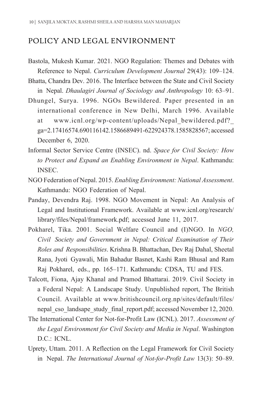## POLICY AND LEGAL ENVIRONMENT

- Bastola, Mukesh Kumar. 2021. NGO Regulation: Themes and Debates with Reference to Nepal. *Curriculum Development Journal* 29(43): 109–124.
- Bhatta, Chandra Dev. 2016. The Interface between the State and Civil Society in Nepal. *Dhaulagiri Journal of Sociology and Anthropology* 10: 63–91.
- Dhungel, Surya. 1996. NGOs Bewildered. Paper presented in an international conference in New Delhi, March 1996. Available at www.icnl.org/wp-content/uploads/Nepal\_bewildered.pdf?\_ ga=2.17416574.690116142.1586689491-622924378.1585828567; accessed December 6, 2020.
- Informal Sector Service Centre (INSEC). nd. *Space for Civil Society: How to Protect and Expand an Enabling Environment in Nepal*. Kathmandu: INSEC.
- NGO Federation of Nepal. 2015. *Enabling Environment: National Assessment*. Kathmandu: NGO Federation of Nepal.
- Panday, Devendra Raj. 1998. NGO Movement in Nepal: An Analysis of Legal and Institutional Framework. Available at www.icnl.org/research/ library/files/Nepal/framework.pdf; accessed June 11, 2017.
- Pokharel, Tika. 2001. Social Welfare Council and (I)NGO. In *NGO, Civil Society and Government in Nepal: Critical Examination of Their Roles and Responsibilities*. Krishna B. Bhattachan, Dev Raj Dahal, Sheetal Rana, Jyoti Gyawali, Min Bahadur Basnet, Kashi Ram Bhusal and Ram Raj Pokharel, eds., pp. 165–171. Kathmandu: CDSA, TU and FES.
- Talcott, Fiona, Ajay Khanal and Pramod Bhattarai. 2019. Civil Society in a Federal Nepal: A Landscape Study. Unpublished report, The British Council. Available at www.britishcouncil.org.np/sites/default/files/ nepal\_cso\_landsape\_study\_final\_report.pdf; accessed November 12, 2020.
- The International Center for Not-for-Profit Law (ICNL). 2017. *Assessment of the Legal Environment for Civil Society and Media in Nepal*. Washington D.C.: ICNL.
- Uprety, Uttam. 2011. A Reflection on the Legal Framework for Civil Society in Nepal. *The International Journal of Not-for-Profit Law* 13(3): 50–89.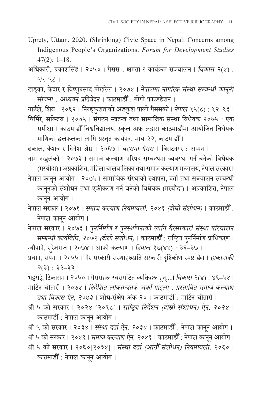- Uprety, Uttam. 2020. (Shrinking) Civic Space in Nepal: Concerns among Indigenous People's Organizations. *Forum for Development Studies* 47(2): 1–18.
- अधिकारी, प्रकाशसिं ह । २०५० । गैसस : क्षमता र कार्यक्रम सञ्चालन । *विकास* २(४) : ५५–५८ ।
- खड्का, केदार र विष्णुप्रसाद पोखरेल । २०७४ । *नेपालमा नागरिक संस्था सम्बन्धी कानूनी संर चना : अध्ययन प्रतिवेदन* । काठमाडौ ँ : गोगो फाउण्डेशन ।

गाउँले, शिव । २०६२ । निरङ्कुशताको अङ्कुश पालो गैससको । *नेपाल* १५(८) : १२–१३ । घिमिरे, सञ्जिव । २०७५ । संगठन स्वतन्त्र तथा सामाजिक संस्था विधेयक २०७५ : एक समीक्षा । काठमाडौँ विश्वविद्यालय, स्कूल अफ लद्वारा काठमाडौँमा आयोजित विधेयक माथिको छलफलका लागि प्रस्तुत कार्यपत्र, माघ २२, काठमाडौँ ।

ढकाल, केशव र दिनेश श्रेष्ठ । २०६७ । *बहसमा गैसस* । विराटनगर : अप्पन ।

नाम नखुलेको । २०७३ । समाज कल्याण परिषद् सम्बन्धमा व्यवस्था गर्न बनेको विधेयक (मस्यौदा) । अप्रकाशित, महिला बालबालिका तथा समाज कल्याण मन्त्रालय, नेपाल सरकार ।

नेपाल कानून आयोग । २०७५ । सामाजिक संस्थाको स्थापना, दर्ता तथा सञ्चालन सम्ब कानू नको सं शोधन तथा एकीकरण गर्न बनेको विधेयक (मस्यौदा) । अप्रकाशित, नेपाल कानुन आयोग ।

नेपाल सरकार । २०७१ । *समाज कल्याण नियमावली, २०४९ (दोस्रो सं शोधन)* । काठमाडौ ँ : नेपाल कानून आयोग।

नेपाल सरकार । २०७३ । *पु नर्निर्माण र पु नर्स्थापनाको लागि गैरसरकारी सं स्था परिचालन सम्बन्धी कार्यविधि, २०७२ (दोस्रो संशोधन)* । काठमाडौँ : राष्ट्रिय पुनर्निर्माण प्राधिकरण । न्यौपाने, सर ुेशराज । २०७४ । आफ्नै कल्याण । *हिमाल* १७(४४) : ३६–३७ ।

प्रधान, सपना । २०५५ । गैर सरकारी सं स्थाहरूप्रति सरकारी दृष्टिकोण स्पष्ट छैन । *हाकाहाकी* २(३) : ३२–३३ ।

भट्टराई, टिकाराम । २०५० । गैससंहरू स्वसंगठित व्यक्तिहरू हुन्....। *विकास २*(४) : ४९–५४ । मार्टिन चौतारी । २०७४ । *निर्शिदे त लोकतन्त्रतर्फ अर्को पाइला : प्रस्तावित समाज कल्याण*  त*था विकास ऐन, २०७३* । शोध-संक्षेप अंक २० । काठमाडौँ : मार्टिन चौतारी ।

श्री ५ को सरकार । २०२४ [२०१८] । *राष्ट्रिय निर्देशन (दोस्रो सं शोधन) ऐन, २०२४* । काठमाडौँ : नेपाल कानून आयोग ।

श्री ५ को सरकार । २०३४ । *संस्था दर्ता ऐन, २०३४* । काठमाडौँ : नेपाल कानून आयोग ।

श्री ५ को सरकार । २०४९ । *समाज कल्याण ऐन, २०४९* । काठमाडौ ँ : नेपाल कानन आू योग ।

श्री ५ को सरकार । २०६०[२०३४] । *सं स्था दर्ता (आठौ ँ सं शोधन) नियमावली, २०६०* । काठमाडौँ : नेपाल कानन आयोग ।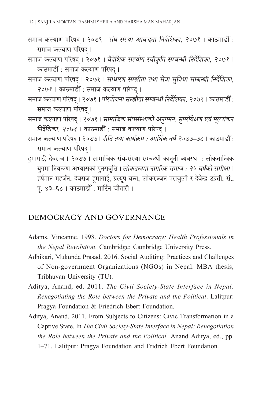- समाज कल्याण परिषद् । २०७१ । *संघ संस्था आबद्धता निर्देशिका, २०७१* । काठमाडौँ : समाज कल्याण परिषद । ्
- समाज कल्याण परिषद । २०७१ । ् *वैदेशिक सहयोग स्वीकृति सम्बन्धी निर्शिदे का, २०७१* । काठमाडौ ँ : समाज कल्याण परिषद । ्
- समाज कल्याण परिषद् । २०७१ । *साधारण सम्झौता तथा सेवा सुविधा सम्बन्धी निर्देशिका, २०७१* । काठमाडौ ँ : समाज कल्याण परिषद । ्
- समाज कल्याण परिषद् । २०७१ । *परियोजना सम्झौता सम्बन्धी निर्देशिका, २०७१* । काठमाडौँ : समाज कल्याण परिषद । ्
- समाज कल्याण परिषद् । २०७१ । *सामाजिक संघसंस्थाको अनुगमन, सुपरीवेक्षण एवं मूल्यांकन निर्शिदे का, २०७१* । काठमाडौ ँ : समाज कल्याण परिषद । ्
- समाज कल्याण परिषद् । २०७७ । *नीति तथा कार्यक्रम : आर्थिक वर्ष २०७७–७८* । काठमाडौँ : समाज कल्याण परिषद । ्
- हुमागाई, देवराज । २०७७ । सामाजिक संघ-संस्था सम्बन्धी कानूनी व्यवस्था : लोकतान्त्रिक युगमा नियन्त्रण अभ्यासको पुनरावृत्ति । *लोकतन्त्रमा नागरिक समाज : २५ वर्षको समीक्षा* । हर्षमान महर्जन, देवराज हुमागाई, प्रत्यूष वन्त, लोकरञ्जन पराजुली र देवेन्द्र उप्रेती, सं., पृ. ४३–६८ । काठमाडौँ : मार्टिन चौतारी ।

#### DEMOCRACY AND GOVERNANCE

- Adams, Vincanne. 1998. *Doctors for Democracy: Health Professionals in the Nepal Revolution*. Cambridge: Cambridge University Press.
- Adhikari, Mukunda Prasad. 2016. Social Auditing: Practices and Challenges of Non-government Organizations (NGOs) in Nepal. MBA thesis, Tribhuvan University (TU).
- Aditya, Anand, ed. 2011. *The Civil Society-State Interface in Nepal: Renegotiating the Role between the Private and the Political*. Lalitpur: Pragya Foundation & Friedrich Ebert Foundation.
- Aditya, Anand. 2011. From Subjects to Citizens: Civic Transformation in a Captive State. In *The Civil Society-State Interface in Nepal: Renegotiation the Role between the Private and the Political*. Anand Aditya, ed., pp. 1–71. Lalitpur: Pragya Foundation and Fridrich Ebert Foundation.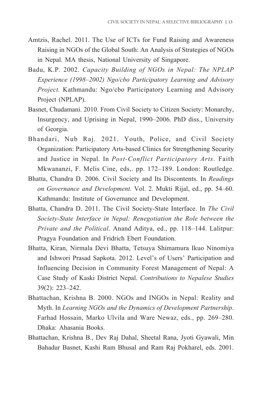- Amtzis, Rachel. 2011. The Use of ICTs for Fund Raising and Awareness Raising in NGOs of the Global South: An Analysis of Strategies of NGOs in Nepal. MA thesis, National University of Singapore.
- Badu, K.P. 2002. *Capacity Building of NGOs in Nepal: The NPLAP Experience (1998–2002) Ngo/cbo Participatory Learning and Advisory Project.* Kathmandu: Ngo/cbo Participatory Learning and Advisory Project (NPLAP).
- Basnet, Chudamani. 2010. From Civil Society to Citizen Society: Monarchy, Insurgency, and Uprising in Nepal, 1990–2006. PhD diss., University of Georgia.
- Bhandari, Nub Raj*.* 2021. Youth, Police, and Civil Society Organization: Participatory Arts-based Clinics for Strengthening Security and Justice in Nepal. In *Post-Conflict Participatory Arts*. Faith Mkwananzi, F. Melis Cine, eds,. pp. 172–189. London: Routledge.
- Bhatta, Chandra D. 2006. Civil Society and Its Discontents. In *Readings on Governance and Development.* Vol. 2. Mukti Rijal, ed., pp. 54–60. Kathmandu: Institute of Governance and Development.
- Bhatta, Chandra D. 2011. The Civil Society-State Interface. In *The Civil Society-State Interface in Nepal: Renegotiation the Role between the Private and the Political*. Anand Aditya, ed., pp. 118–144. Lalitpur: Pragya Foundation and Fridrich Ebert Foundation.
- Bhatta, Kiran, Nirmala Devi Bhatta, Tetsuya Shimamura Ikuo Ninomiya and Ishwori Prasad Sapkota. 2012. Level's of Users' Participation and Influencing Decision in Community Forest Management of Nepal: A Case Study of Kaski District Nepal. *Contributions to Nepalese Studies* 39(2): 223–242.
- Bhattachan, Krishna B. 2000. NGOs and INGOs in Nepal: Reality and Myth. In *Learning NGOs and the Dynamics of Development Partnership*. Farhad Hossain, Marko Ulvila and Ware Newaz, eds., pp. 269–280. Dhaka: Ahasania Books.
- Bhattachan, Krishna B., Dev Raj Dahal, Sheetal Rana, Jyoti Gyawali, Min Bahadur Basnet, Kashi Ram Bhusal and Ram Raj Pokharel, eds. 2001.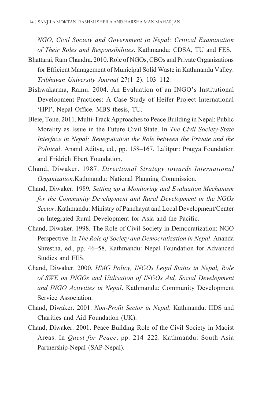*NGO, Civil Society and Government in Nepal: Critical Examination of Their Roles and Responsibilities*. Kathmandu: CDSA, TU and FES.

- Bhattarai, Ram Chandra. 2010. Role of NGOs, CBOs and Private Organizations for Efficient Management of Municipal Solid Waste in Kathmandu Valley. *Tribhuvan University Journal* 27(1–2): 103–112*.*
- Bishwakarma, Ramu. 2004. An Evaluation of an INGO's Institutional Development Practices: A Case Study of Heifer Project International 'HPI', Nepal Office. MBS thesis, TU.
- Bleie, Tone. 2011. Multi-Track Approaches to Peace Building in Nepal: Public Morality as Issue in the Future Civil State. In *The Civil Society-State Interface in Nepal: Renegotiation the Role between the Private and the Political*. Anand Aditya, ed., pp. 158–167. Lalitpur: Pragya Foundation and Fridrich Ebert Foundation.
- Chand, Diwaker. 1987. *Directional Strategy towards International Organization*.Kathmandu: National Planning Commission.
- Chand, Diwaker. 1989*. Setting up a Monitoring and Evaluation Mechanism for the Community Development and Rural Development in the NGOs Sector*. Kathmandu: Ministry of Panchayat and Local Development/Center on Integrated Rural Development for Asia and the Pacific.
- Chand, Diwaker. 1998. The Role of Civil Society in Democratization: NGO Perspective. In *The Role of Society and Democratization in Nepal*. Ananda Shrestha, ed., pp. 46–58. Kathmandu: Nepal Foundation for Advanced Studies and FES.
- Chand, Diwaker. 2000*. HMG Policy, INGOs Legal Status in Nepal, Role of SWE on INGOs and Utilisation of INGOs Aid, Social Development and INGO Activities in Nepal*. Kathmandu: Community Development Service Association.
- Chand, Diwaker. 2001. *Non-Profit Sector in Nepal*. Kathmandu: IIDS and Charities and Aid Foundation (UK).
- Chand, Diwaker. 2001. Peace Building Role of the Civil Society in Maoist Areas. In *Quest for Peace*, pp. 214–222. Kathmandu: South Asia Partnership-Nepal (SAP-Nepal).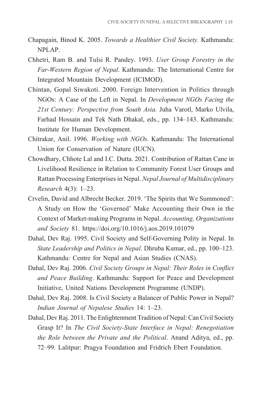- Chapagain, Binod K. 2005. *Towards a Healthier Civil Society.* Kathmandu: NPLAP.
- Chhetri, Ram B. and Tulsi R. Pandey. 1993. *User Group Forestry in the Far-Western Region of Nepal*. Kathmandu: The International Centre for Integrated Mountain Development (ICIMOD).
- Chintan, Gopal Siwakoti. 2000. Foreign Intervention in Politics through NGOs: A Case of the Left in Nepal. In *Development NGOs Facing the 21st Century: Perspective from South Asia.* Juha Varotl, Marko Ulvila, Farhad Hossain and Tek Nath Dhakal, eds., pp. 134–143. Kathmandu: Institute for Human Development.
- Chitrakar, Anil. 1996. *Working with NGOs*. Kathmandu: The International Union for Conservation of Nature (IUCN).
- Chowdhary, Chhote Lal and I.C. Dutta. 2021. Contribution of Rattan Cane in Livelihood Resilience in Relation to Community Forest User Groups and Rattan Processing Enterprises in Nepal. *Nepal Journal of Multidisciplinary Research* 4(3): 1–23.
- Crvelin, David and Albrecht Becker. 2019. 'The Spirits that We Summoned': A Study on How the 'Governed' Make Accounting their Own in the Context of Market-making Programs in Nepal. *Accounting, Organizations and Society* 81. https://doi.org/10.1016/j.aos.2019.101079
- Dahal, Dev Raj. 1995. Civil Society and Self-Governing Polity in Nepal. In *State Leadership and Politics in Nepal*. Dhruba Kumar, ed., pp. 100–123. Kathmandu: Centre for Nepal and Asian Studies (CNAS).
- Dahal, Dev Raj. 2006. *Civil Society Groups in Nepal: Their Roles in Conflict and Peace Building*. Kathmandu: Support for Peace and Development Initiative, United Nations Development Programme (UNDP).
- Dahal, Dev Raj. 2008. Is Civil Society a Balancer of Public Power in Nepal? *Indian Journal of Nepalese Studies* 14: 1–23.
- Dahal, Dev Raj. 2011. The Enlightenment Tradition of Nepal: Can Civil Society Grasp It? In *The Civil Society-State Interface in Nepal: Renegotiation the Role between the Private and the Political*. Anand Aditya, ed., pp. 72–99. Lalitpur: Pragya Foundation and Fridrich Ebert Foundation.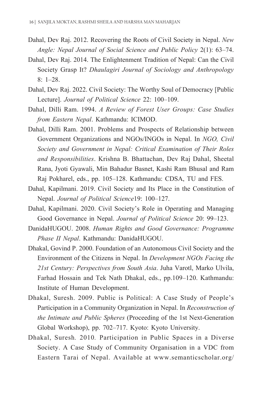- Dahal, Dev Raj. 2012. Recovering the Roots of Civil Society in Nepal. *New Angle: Nepal Journal of Social Science and Public Policy* 2(1): 63–74.
- Dahal, Dev Raj. 2014. The Enlightenment Tradition of Nepal: Can the Civil Society Grasp It? *Dhaulagiri Journal of Sociology and Anthropology* 8: 1–28.
- Dahal, Dev Raj. 2022. Civil Society: The Worthy Soul of Democracy [Public Lecture]. *Journal of Political Science* 22: 100–109.
- Dahal, Dilli Ram. 1994. *A Review of Forest User Groups: Case Studies from Eastern Nepal*. Kathmandu: ICIMOD.
- Dahal, Dilli Ram. 2001. Problems and Prospects of Relationship between Government Organizations and NGOs/INGOs in Nepal. In *NGO, Civil Society and Government in Nepal: Critical Examination of Their Roles and Responsibilities*. Krishna B. Bhattachan, Dev Raj Dahal, Sheetal Rana, Jyoti Gyawali, Min Bahadur Basnet, Kashi Ram Bhusal and Ram Raj Pokharel, eds., pp. 105–128. Kathmandu: CDSA, TU and FES.
- Dahal, Kapilmani. 2019. Civil Society and Its Place in the Constitution of Nepal. *Journal of Political Science*19: 100–127.
- Dahal, Kapilmani. 2020. Civil Society's Role in Operating and Managing Good Governance in Nepal. *Journal of Political Science* 20: 99–123.
- DanidaHUGOU. 2008. *Human Rights and Good Governance: Programme Phase II Nepal*. Kathmandu: DanidaHUGOU.
- Dhakal, Govind P. 2000. Foundation of an Autonomous Civil Society and the Environment of the Citizens in Nepal. In *Development NGOs Facing the 21st Century: Perspectives from South Asia*. Juha Varotl, Marko Ulvila, Farhad Hossain and Tek Nath Dhakal, eds., pp.109–120. Kathmandu: Institute of Human Development.
- Dhakal, Suresh. 2009. Public is Political: A Case Study of People's Participation in a Community Organization in Nepal. In *Reconstruction of the Intimate and Public Spheres* (Proceeding of the 1st Next-Generation Global Workshop), pp. 702–717. Kyoto: Kyoto University.
- Dhakal, Suresh*.* 2010*.* Participation in Public Spaces in a Diverse Society. A Case Study of Community Organisation in a VDC from Eastern Tarai of Nepal. Available at www.semanticscholar.org/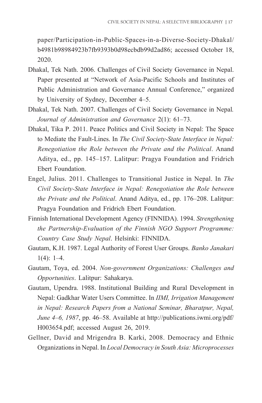paper/Participation-in-Public-Spaces-in-a-Diverse-Society-Dhakal/ b4981b98984923b7fb9393b0d98ecbdb99d2ad86; accessed October 18, 2020.

- Dhakal, Tek Nath. 2006. Challenges of Civil Society Governance in Nepal. Paper presented at "Network of Asia-Pacific Schools and Institutes of Public Administration and Governance Annual Conference," organized by University of Sydney, December 4–5.
- Dhakal, Tek Nath. 2007. Challenges of Civil Society Governance in Nepal*. Journal of Administration and Governance* 2(1): 61–73.
- Dhakal, Tika P. 2011. Peace Politics and Civil Society in Nepal: The Space to Mediate the Fault-Lines. In *The Civil Society-State Interface in Nepal: Renegotiation the Role between the Private and the Political*. Anand Aditya, ed., pp. 145–157. Lalitpur: Pragya Foundation and Fridrich Ebert Foundation.
- Engel, Julius. 2011. Challenges to Transitional Justice in Nepal. In *The Civil Society-State Interface in Nepal: Renegotiation the Role between the Private and the Political*. Anand Aditya, ed., pp. 176–208. Lalitpur: Pragya Foundation and Fridrich Ebert Foundation.
- Finnish International Development Agency (FINNIDA). 1994. *Strengthening the Partnership-Evaluation of the Finnish NGO Support Programme: Country Case Study Nepal*. Helsinki: FINNIDA.
- Gautam, K.H. 1987. Legal Authority of Forest User Groups. *Banko Janakari*   $1(4): 1-4.$
- Gautam, Toya, ed. 2004. *Non-government Organizations: Challenges and Opportunities*. Lalitpur: Sahakarya.
- Gautam, Upendra. 1988. Institutional Building and Rural Development in Nepal: Gadkhar Water Users Committee. In *IIMI, Irrigation Management in Nepal: Research Papers from a National Seminar, Bharatpur, Nepal, June 4–6, 1987*, pp. 46–58. Available at http://publications.iwmi.org/pdf/ H003654.pdf; accessed August 26, 2019.
- Gellner, David and Mrigendra B. Karki, 2008. Democracy and Ethnic Organizations in Nepal. In *Local Democracy in South Asia: Microprocesses*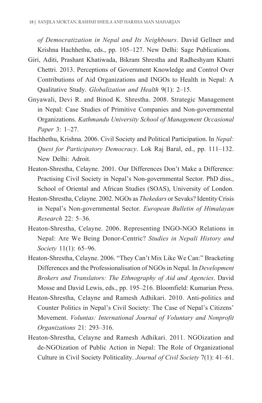*of Democratization in Nepal and Its Neighbours*. David Gellner and Krishna Hachhethu, eds., pp. 105–127. New Delhi: Sage Publications.

- Giri, Aditi, Prashant Khatiwada, Bikram Shrestha and Radheshyam Khatri Chettri. 2013. Perceptions of Government Knowledge and Control Over Contributions of Aid Organizations and INGOs to Health in Nepal: A Qualitative Study. *Globalization and Health* 9(1): 2–15.
- Gnyawali, Devi R. and Binod K. Shrestha. 2008. Strategic Management in Nepal: Case Studies of Primitive Companies and Non-governmental Organizations. *Kathmandu University School of Management Occasional Paper* 3: 1–27.
- Hachhethu, Krishna. 2006. Civil Society and Political Participation. In *Nepal: Quest for Participatory Democracy*. Lok Raj Baral, ed., pp. 111–132. New Delhi: Adroit.
- Heaton-Shrestha, Celayne. 2001. Our Differences Don't Make a Difference: Practising Civil Society in Nepal's Non-governmental Sector. PhD diss., School of Oriental and African Studies (SOAS), University of London.
- Heaton-Shrestha, Celayne. 2002. NGOs as *Thekedars* or Sevaks? Identity Crisis in Nepal's Non-governmental Sector. *European Bulletin of Himalayan Research* 22: 5–36.
- Heaton-Shrestha, Celayne. 2006. Representing INGO-NGO Relations in Nepal: Are We Being Donor-Centric? *Studies in Nepali History and Society* 11(1): 65–96.
- Heaton-Shrestha, Celayne. 2006. "They Can't Mix Like We Can:" Bracketing Differences and the Professionalisation of NGOs in Nepal. In *Development Brokers and Translators: The Ethnography of Aid and Agencies*. David Mosse and David Lewis, eds., pp. 195–216. Bloomfield: Kumarian Press.
- Heaton-Shrestha, Celayne and Ramesh Adhikari. 2010. Anti-politics and Counter Politics in Nepal's Civil Society: The Case of Nepal's Citizens' Movement. *Voluntas: International Journal of Voluntary and Nonprofit Organizations* 21: 293–316.
- Heaton-Shrestha, Celayne and Ramesh Adhikari. 2011. NGOization and de-NGOization of Public Action in Nepal: The Role of Organizational Culture in Civil Society Politicality. *Journal of Civil Society* 7(1): 41–61.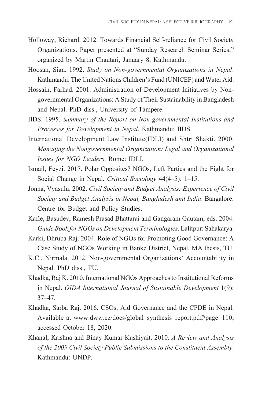- Holloway, Richard. 2012. Towards Financial Self-reliance for Civil Society Organizations. Paper presented at "Sunday Research Seminar Series," organized by Martin Chautari, January 8, Kathmandu.
- Hoosan, Sian. 1992. *Study on Non-governmental Organizations in Nepal*. Kathmandu: The United Nations Children's Fund (UNICEF) and Water Aid.
- Hossain, Farhad. 2001. Administration of Development Initiatives by Nongovernmental Organizations: A Study of Their Sustainability in Bangladesh and Nepal. PhD diss., University of Tampere.
- IIDS. 1995. *Summary of the Report on Non-governmental Institutions and Processes for Development in Nepal*. Kathmandu: IIDS.
- International Development Law Institute(IDLI) and Shtri Shakti. 2000. *Managing the Nongovernmental Organization: Legal and Organizational Issues for NGO Leaders*. Rome: IDLI.
- Ismail, Feyzi. 2017. Polar Opposites? NGOs, Left Parties and the Fight for Social Change in Nepal. *Critical Sociology* 44(4–5): 1–15.
- Jonna, Vyasulu. 2002. *Civil Society and Budget Analysis: Experience of Civil Society and Budget Analysis in Nepal, Bangladesh and India*. Bangalore: Centre for Budget and Policy Studies.
- Kafle, Basudev, Ramesh Prasad Bhattarai and Gangaram Gautam, eds. 2004. *Guide Book for NGOs on Development Terminologies*. Lalitpur: Sahakarya.
- Karki, Dhruba Raj. 2004. Role of NGOs for Promoting Good Governance: A Case Study of NGOs Working in Banke District, Nepal. MA thesis, TU.
- K.C., Nirmala. 2012. Non-governmental Organizations' Accountability in Nepal. PhD diss., TU.
- Khadka, Raj K. 2010. International NGOs Approaches to Institutional Reforms in Nepal. *OIDA International Journal of Sustainable Development* 1(9): 37–47.
- Khadka, Sarba Raj. 2016. CSOs, Aid Governance and the CPDE in Nepal. Available at www.dww.cz/docs/global\_synthesis\_report.pdf#page=110; accessed October 18, 2020.
- Khanal, Krishna and Binay Kumar Kushiyait. 2010. *A Review and Analysis of the 2009 Civil Society Public Submissions to the Constituent Assembly*. Kathmandu: UNDP.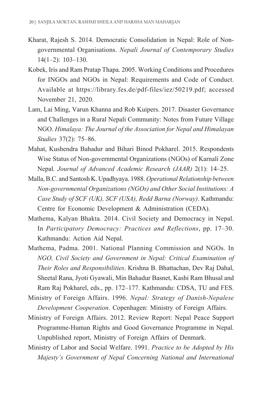- Kharat, Rajesh S. 2014. Democratic Consolidation in Nepal: Role of Nongovernmental Organisations. *Nepali Journal of Contemporary Studies*  14(1–2): 103–130.
- Kobek, Iris and Ram Pratap Thapa. 2005. Working Conditions and Procedures for INGOs and NGOs in Nepal: Requirements and Code of Conduct. Available at https://library.fes.de/pdf-files/iez/50219.pdf; accessed November 21, 2020.
- Lam, Lai Ming, Varun Khanna and Rob Kuipers. 2017. Disaster Governance and Challenges in a Rural Nepali Community: Notes from Future Village NGO. *Himalaya: The Journal of the Association for Nepal and Himalayan Studies* 37(2): 75–86.
- Mahat, Kushendra Bahadur and Bihari Binod Pokharel. 2015. Respondents Wise Status of Non-governmental Organizations (NGOs) of Karnali Zone Nepal*. Journal of Advanced Academic Research (JAAR)* 2(1): 14–25.
- Malla, B.C. and Santosh K. Upadhyaya. 1988. *Operational Relationship between Non-governmental Organizations (NGOs) and Other Social Institutions: A Case Study of SCF (UK), SCF (USA), Redd Barna (Norway)*. Kathmandu: Centre for Economic Development & Administration (CEDA).
- Mathema, Kalyan Bhakta. 2014. Civil Society and Democracy in Nepal. In *Participatory Democracy: Practices and Reflections*, pp. 17–30. Kathmandu: Action Aid Nepal.
- Mathema, Padma. 2001. National Planning Commission and NGOs. In *NGO, Civil Society and Government in Nepal: Critical Examination of Their Roles and Responsibilities*. Krishna B. Bhattachan, Dev Raj Dahal, Sheetal Rana, Jyoti Gyawali, Min Bahadur Basnet, Kashi Ram Bhusal and Ram Raj Pokharel, eds., pp. 172–177. Kathmandu: CDSA, TU and FES.

Ministry of Foreign Affairs. 1996. *Nepal: Strategy of Danish-Nepalese Development Cooperation*. Copenhagen: Ministry of Foreign Affairs.

- Ministry of Foreign Affairs. 2012. Review Report: Nepal Peace Support Programme-Human Rights and Good Governance Programme in Nepal. Unpublished report, Ministry of Foreign Affairs of Denmark.
- Ministry of Labor and Social Welfare. 1991. *Practice to be Adopted by His Majesty's Government of Nepal Concerning National and International*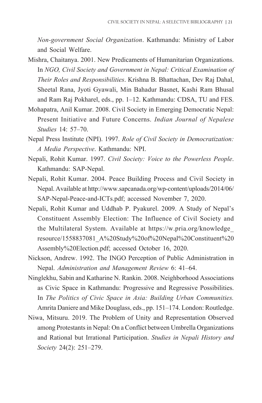*Non-government Social Organization*. Kathmandu: Ministry of Labor and Social Welfare.

- Mishra, Chaitanya. 2001. New Predicaments of Humanitarian Organizations. In *NGO, Civil Society and Government in Nepal: Critical Examination of Their Roles and Responsibilities*. Krishna B. Bhattachan, Dev Raj Dahal, Sheetal Rana, Jyoti Gyawali, Min Bahadur Basnet, Kashi Ram Bhusal and Ram Raj Pokharel, eds., pp. 1–12. Kathmandu: CDSA, TU and FES.
- Mohapatra, Anil Kumar. 2008. Civil Society in Emerging Democratic Nepal: Present Initiative and Future Concerns. *Indian Journal of Nepalese Studies* 14: 57–70.
- Nepal Press Institute (NPI). 1997. *Role of Civil Society in Democratization: A Media Perspective*. Kathmandu: NPI.
- Nepali, Rohit Kumar. 1997. *Civil Society: Voice to the Powerless People*. Kathmandu: SAP-Nepal.
- Nepali, Rohit Kumar. 2004. Peace Building Process and Civil Society in Nepal. Available at http://www.sapcanada.org/wp-content/uploads/2014/06/ SAP-Nepal-Peace-and-ICTs.pdf; accessed November 7, 2020.
- Nepali, Rohit Kumar and Uddhab P. Pyakurel. 2009. A Study of Nepal's Constituent Assembly Election: The Influence of Civil Society and the Multilateral System. Available at https://w.pria.org/knowledge\_ resource/1558837081\_A%20Study%20of%20Nepal%20Constituent%20 Assembly%20Election.pdf; accessed October 16, 2020.
- Nickson, Andrew. 1992. The INGO Perception of Public Administration in Nepal. *Administration and Management Review* 6: 41–64.
- Ninglekhu, Sabin and Katharine N. Rankin. 2008. Neighborhood Associations as Civic Space in Kathmandu: Progressive and Regressive Possibilities. In *The Politics of Civic Space in Asia: Building Urban Communities.* Amrita Daniere and Mike Douglass, eds., pp. 151–174. London: Routledge.
- Niwa, Mitsuru. 2019. The Problem of Unity and Representation Observed among Protestants in Nepal: On a Conflict between Umbrella Organizations and Rational but Irrational Participation. *Studies in Nepali History and Society* 24(2): 251–279.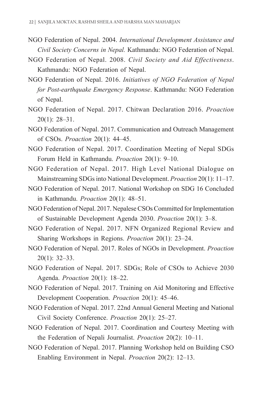- NGO Federation of Nepal. 2004. *International Development Assistance and Civil Society Concerns in Nepal.* Kathmandu: NGO Federation of Nepal.
- NGO Federation of Nepal. 2008. *Civil Society and Aid Effectiveness*. Kathmandu: NGO Federation of Nepal.
- NGO Federation of Nepal. 2016. *Initiatives of NGO Federation of Nepal for Post-earthquake Emergency Response*. Kathmandu: NGO Federation of Nepal.
- NGO Federation of Nepal. 2017. Chitwan Declaration 2016. *Proaction*  20(1): 28–31.
- NGO Federation of Nepal. 2017. Communication and Outreach Management of CSOs. *Proaction* 20(1): 44–45.
- NGO Federation of Nepal. 2017. Coordination Meeting of Nepal SDGs Forum Held in Kathmandu. *Proaction* 20(1): 9–10.
- NGO Federation of Nepal. 2017. High Level National Dialogue on Mainstreaming SDGs into National Development. *Proaction* 20(1): 11–17.
- NGO Federation of Nepal. 2017. National Workshop on SDG 16 Concluded in Kathmandu. *Proaction* 20(1): 48–51.
- NGO Federation of Nepal. 2017. Nepalese CSOs Committed for Implementation of Sustainable Development Agenda 2030. *Proaction* 20(1): 3–8.
- NGO Federation of Nepal. 2017. NFN Organized Regional Review and Sharing Workshops in Regions. *Proaction* 20(1): 23–24.
- NGO Federation of Nepal. 2017. Roles of NGOs in Development. *Proaction* 20(1): 32–33.
- NGO Federation of Nepal. 2017. SDGs; Role of CSOs to Achieve 2030 Agenda. *Proaction* 20(1): 18–22.
- NGO Federation of Nepal. 2017. Training on Aid Monitoring and Effective Development Cooperation. *Proaction* 20(1): 45–46.
- NGO Federation of Nepal. 2017. 22nd Annual General Meeting and National Civil Society Conference. *Proaction* 20(1): 25–27.
- NGO Federation of Nepal. 2017. Coordination and Courtesy Meeting with the Federation of Nepali Journalist. *Proaction* 20(2): 10–11.
- NGO Federation of Nepal. 2017. Planning Workshop held on Building CSO Enabling Environment in Nepal. *Proaction* 20(2): 12–13.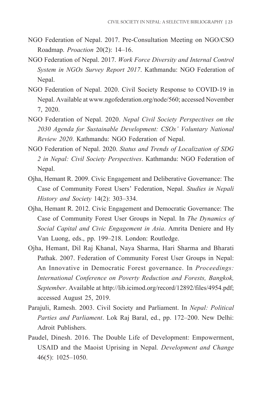- NGO Federation of Nepal. 2017. Pre-Consultation Meeting on NGO/CSO Roadmap. *Proaction* 20(2): 14–16.
- NGO Federation of Nepal. 2017. *Work Force Diversity and Internal Control System in NGOs Survey Report 2017*. Kathmandu: NGO Federation of Nepal.
- NGO Federation of Nepal. 2020. Civil Society Response to COVID-19 in Nepal. Available at www.ngofederation.org/node/560; accessed November 7, 2020.
- NGO Federation of Nepal. 2020. *Nepal Civil Society Perspectives on the 2030 Agenda for Sustainable Development: CSOs' Voluntary National Review 2020*. Kathmandu: NGO Federation of Nepal.
- NGO Federation of Nepal. 2020. *Status and Trends of Localization of SDG 2 in Nepal: Civil Society Perspectives*. Kathmandu: NGO Federation of Nepal.
- Ojha, Hemant R. 2009. Civic Engagement and Deliberative Governance: The Case of Community Forest Users' Federation, Nepal. *Studies in Nepali History and Society* 14(2): 303–334.
- Ojha, Hemant R. 2012. Civic Engagement and Democratic Governance: The Case of Community Forest User Groups in Nepal. In *The Dynamics of Social Capital and Civic Engagement in Asia*. Amrita Deniere and Hy Van Luong, eds., pp. 199–218. London: Routledge.
- Ojha, Hemant, Dil Raj Khanal, Naya Sharma, Hari Sharma and Bharati Pathak. 2007. Federation of Community Forest User Groups in Nepal: An Innovative in Democratic Forest governance. In *Proceedings: International Conference on Poverty Reduction and Forests, Bangkok, September*. Available at http://lib.icimod.org/record/12892/files/4954.pdf; accessed August 25, 2019.
- Parajuli, Ramesh. 2003. Civil Society and Parliament. In *Nepal: Political Parties and Parliament*. Lok Raj Baral, ed., pp. 172–200. New Delhi: Adroit Publishers.
- Paudel, Dinesh. 2016. The Double Life of Development: Empowerment, USAID and the Maoist Uprising in Nepal*. Development and Change*  46(5): 1025–1050.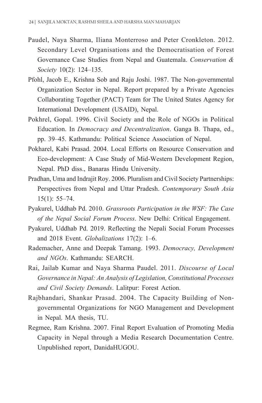- Paudel, Naya Sharma, Iliana Monterroso and Peter Cronkleton. 2012. Secondary Level Organisations and the Democratisation of Forest Governance Case Studies from Nepal and Guatemala. *Conservation & Society* 10(2): 124–135.
- Pfohl, Jacob E., Krishna Sob and Raju Joshi. 1987. The Non-governmental Organization Sector in Nepal. Report prepared by a Private Agencies Collaborating Together (PACT) Team for The United States Agency for International Development (USAID), Nepal.
- Pokhrel, Gopal. 1996. Civil Society and the Role of NGOs in Political Education. In *Democracy and Decentralization*. Ganga B. Thapa, ed., pp. 39–45. Kathmandu: Political Science Association of Nepal.
- Pokharel, Kabi Prasad. 2004. Local Efforts on Resource Conservation and Eco-development: A Case Study of Mid-Western Development Region, Nepal. PhD diss., Banaras Hindu University.
- Pradhan, Uma and Indrajit Roy. 2006. Pluralism and Civil Society Partnerships: Perspectives from Nepal and Uttar Pradesh. *Contemporary South Asia* 15(1): 55–74.
- Pyakurel, Uddhab Pd. 2010. *Grassroots Participation in the WSF: The Case of the Nepal Social Forum Process*. New Delhi: Critical Engagement.
- Pyakurel, Uddhab Pd. 2019. Reflecting the Nepali Social Forum Processes and 2018 Event. *Globalizations* 17(2): 1–6.
- Rademacher, Anne and Deepak Tamang. 1993. *Democracy, Development and NGOs*. Kathmandu: SEARCH.
- Rai, Jailab Kumar and Naya Sharma Paudel. 2011. *Discourse of Local Governance in Nepal: An Analysis of Legislation, Constitutional Processes and Civil Society Demands*. Lalitpur: Forest Action.
- Rajbhandari, Shankar Prasad. 2004. The Capacity Building of Nongovernmental Organizations for NGO Management and Development in Nepal. MA thesis, TU.
- Regmee, Ram Krishna. 2007. Final Report Evaluation of Promoting Media Capacity in Nepal through a Media Research Documentation Centre. Unpublished report, DanidaHUGOU.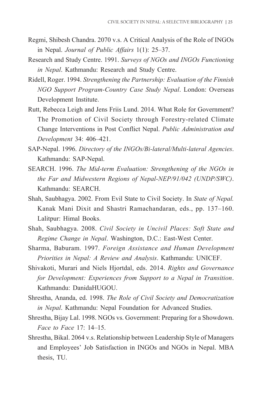- Regmi, Shibesh Chandra. 2070 v.s. A Critical Analysis of the Role of INGOs in Nepal. *Journal of Public Affairs* 1(1): 25–37.
- Research and Study Centre. 1991. *Surveys of NGOs and INGOs Functioning in Nepal*. Kathmandu: Research and Study Centre.
- Ridell, Roger. 1994. *Strengthening the Partnership: Evaluation of the Finnish NGO Support Program-Country Case Study Nepal*. London: Overseas Development Institute.
- Rutt, Rebecca Leigh and Jens Friis Lund. 2014. What Role for Government? The Promotion of Civil Society through Forestry-related Climate Change Interventions in Post Conflict Nepal. *Public Administration and Development* 34: 406–421.
- SAP-Nepal. 1996. *Directory of the INGOs/Bi-lateral/Multi-lateral Agencies*. Kathmandu: SAP-Nepal.
- SEARCH. 1996. *The Mid-term Evaluation: Strengthening of the NGOs in the Far and Midwestern Regions of Nepal-NEP/91/042 (UNDP/SWC)*. Kathmandu: SEARCH.
- Shah, Saubhagya. 2002. From Evil State to Civil Society. In *State of Nepal.*  Kanak Mani Dixit and Shastri Ramachandaran, eds., pp. 137–160. Lalitpur: Himal Books.
- Shah, Saubhagya. 2008. *Civil Society in Uncivil Places: Soft State and Regime Change in Nepal*. Washington, D.C.: East-West Center.
- Sharma, Baburam. 1997. *Foreign Assistance and Human Development Priorities in Nepal: A Review and Analysis*. Kathmandu: UNICEF.
- Shivakoti, Murari and Niels Hjortdal, eds. 2014. *Rights and Governance for Development: Experiences from Support to a Nepal in Transition*. Kathmandu: DanidaHUGOU.
- Shrestha, Ananda, ed. 1998. *The Role of Civil Society and Democratization in Nepal*. Kathmandu: Nepal Foundation for Advanced Studies.
- Shrestha, Bijay Lal. 1998. NGOs vs. Government: Preparing for a Showdown. *Face to Face* 17: 14–15.
- Shrestha, Bikal. 2064 v.s. Relationship between Leadership Style of Managers and Employees' Job Satisfaction in INGOs and NGOs in Nepal. MBA thesis, TU.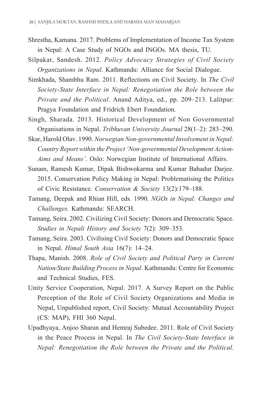- Shrestha, Kamana. 2017. Problems of Implementation of Income Tax System in Nepal: A Case Study of NGOs and INGOs. MA thesis, TU.
- Silpakar, Sandesh. 2012. *Policy Advocacy Strategies of Civil Society Organizations in Nepal*. Kathmandu: Alliance for Social Dialogue.
- Simkhada, Shambhu Ram. 2011. Reflections on Civil Society. In *The Civil Society-State Interface in Nepal: Renegotiation the Role between the Private and the Political*. Anand Aditya, ed., pp. 209–213. Lalitpur: Pragya Foundation and Fridrich Ebert Foundation.
- Singh, Sharada. 2013. Historical Development of Non Governmental Organisations in Nepal. *Tribhuvan University Journal* 28(1–2): 283–290.
- Skar, Harold Olav. 1990. *Norwegian Non-governmental Involvement in Nepal: Country Report within the Project 'Non-governmental Development Action-Aims and Means'*. Oslo: Norwegian Institute of International Affairs.
- Sunam, Ramesh Kumar, Dipak Bishwokarma and Kumar Bahadur Darjee. 2015. Conservation Policy Making in Nepal: Problematising the Politics of Civic Resistance. *Conservation & Society* 13(2):179–188.
- Tamang, Deepak and Rhian Hill, eds. 1990. *NGOs in Nepal: Changes and Challenges.* Kathmandu: SEARCH.
- Tamang, Seira. 2002. Civilizing Civil Society: Donors and Democratic Space. *Studies in Nepali History and Society* 7(2): 309–353.
- Tamang, Seira. 2003. Civilising Civil Society: Donors and Democratic Space in Nepal. *Himal South Asia* 16(7): 14–24.
- Thapa, Manish. 2008. *Role of Civil Society and Political Party in Current Nation/State Building Process in Nepal*. Kathmandu: Centre for Economic and Technical Studies, FES.
- Unity Service Cooperation, Nepal. 2017. A Survey Report on the Public Perception of the Role of Civil Society Organizations and Media in Nepal, Unpublished report, Civil Society: Mutual Accountability Project (CS: MAP), FHI 360 Nepal.
- Upadhyaya, Anjoo Sharan and Hemraj Subedee. 2011. Role of Civil Society in the Peace Process in Nepal. In *The Civil Society-State Interface in Nepal: Renegotiation the Role between the Private and the Political*.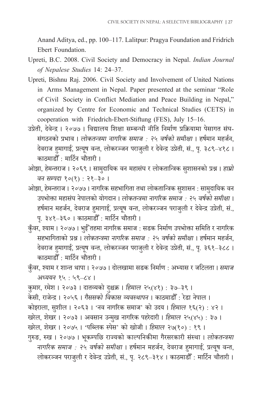Anand Aditya, ed., pp. 100–117. Lalitpur: Pragya Foundation and Fridrich Ebert Foundation.

- Upreti, B.C. 2008. Civil Society and Democracy in Nepal. *Indian Journal of Nepalese Studies* 14: 24–37.
- Upreti, Bishnu Raj. 2006. Civil Society and Involvement of United Nations in Arms Management in Nepal. Paper presented at the seminar "Role of Civil Society in Conflict Mediation and Peace Building in Nepal," organized by Centre for Economic and Technical Studies (CETS) in cooperation with Friedrich-Ebert-Stiftung (FES), July 15–16.
- उप्रेती, देवेन्द्र । २०७७ । विद्यालय शिक्षा सम्बन्धी नीति निर्माण प्रक्रियामा पेसागत सं घ-सं गठनको प्रभाव । *लोकतन्त्रमा नागरिक समाज : २५ वर्षको समीक्षा* । हर्षमान महर्जन, देवराज हुमागाई,ं प्रत्यूष वन्त, लोकरञ्जन पराजुली र देवेन्द्र उप्रेती, सं., पृ. ३८९–४१८ । काठमाडौ ँ : मार्टिन चौतारी ।
- ओझा, हेमन्तराज । २०६९ । सामुदायिक वन महासंघ र लोकतान्त्रिक सुशासनको प्रश्न । *हाम्रो वन सम्पदा* १०(१) : २१–३० ।
- ओझा, हेमन्तराज । २०७७ । नागरिक सहभागिता तथा लोकतान्त्रिक सुशासन : सामुदायिक वन उपभोक्ता महासं घ नेपालको योगदान । *लोकतन्त्रमा नागरिक समाज : २५ वर्षको समीक्षा* । हर्षमान महर्जन, देवराज हुमागाई, प्रत्यूष वन्त, लोकरञ्जन पराजुली र देवेन्द्र उप्रेती, सं., पृ. ३४१–३६० । काठमाडौँ : मार्टिन चौतारी ।
- कुँवर, श्याम । २०७७ । भुईँ तहमा नागरिक समाज : सडक निर्माण उपभोक्ता समिति र नागरिक सहभागिताको प्रश्न । *लोकतन्त्रमा नागरिक समाज : २५ वर्षको समीक्षा* । हर्षमान महर्जन, देवराज हुमागाई; प्रत्यूष वन्त, लोकरञ्जन पराजुली र देवेन्द्र उप्रेती, सं., पृ. ३६१–३८८ । काठमाडौ ँ : मार्टिन चौतारी ।
- कँ वर, श ु ्याम र शान्त थापा । २०७७ । दोलखामा सडक निर्माण : अभ्यास र जटिलता । *समाज अध्ययन* १५ : ५९–८४ ।
- कुमार, रमेश । २०७३ । दातव्यको दुश्चक्र । *हिमाल* २५(४१) : ३७–३९ ।
- केसी, राजेन्द्र । २०५६ । *गैससको विकास व्यवस्थापन* । काठमाडौ ँ : रेडा नेपाल ।
- कोइराला, सशील । २०६३ । 'नव नागर ु िक समाज' को उदय । *हिमाल* १६(२) : ४२ ।
- खरेल, शेखर । २०७३ । अवसान उन्मुख नागरिक पहरेदारी । *हिमाल २*५(४५) : ३७ ।
- खरेल, शेखर। २०७५। 'पब्लिक स्पेस' को खोजी। *हिमाल २*७(१०): १९।
- गुरुङ, रुख । २०७७ । भू कम्पछि राज्यको काल्पनिकीमा गैरसरकारी सं स्था । *लोकतन्त्रमा नागरिक समाज : २५ वर्षको समीक्षा* । हर्षमान महर्जन, देवराज हुमागाई, प्रत्यूष वन्त, लोकरञ्जन पराजुली र देवेन्द्र उप्रेती, सं., पृ. २८९–३१४ । काठमाडौँ : मार्टिन चौतारी ।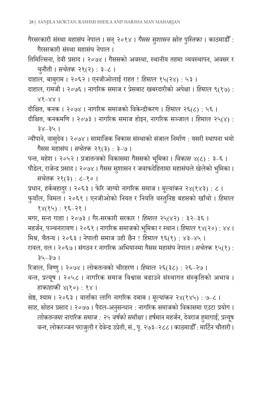गैरसरकारी संस्था महासंघ नेपाल । सन् २०१४ । *गैसस सुशासन स्रोत पुस्तिका* । काठमाडौँ : गैरसरकारी सं स्था महासं घ नेपाल । तिमिल्सिना, देवी प्रसाद । २०७४ । गैससको अवस्था, स्थानीय तहमा व्यवस्थापन, अवसर र चुनौती । *सचेतक २*१(२) : ३–८ । दाहाल, बाबराम । २०६२ । एनजीओलाई राहत ! ु *हिमाल* १५(२४) : ५३ । दाहाल, रामजी । २०७६ । नागरिक समाज र प्रेसबाट खबरदारीको अपेक्षा । *हिमाल* ९(१७) : ४१–४४ । दीक्षित, कनक । २०७४ । नागरिक समाजको विकेन्द्रीकरण । *हिमाल* २६(८) : ५६ । दीक्षित, कनकमणि । २०७३ । नागरिक समाज होइन, नागरिक सञ्जाल । *हिमाल* २५(४) : ३४–३५ । न्यौपाने, वासुदेव । २०७४ । सामाजिक विकास संस्थाको संजाल निर्माण : यसरी स्थापना भयो गैसस महासं घ । *सचेतक* २१(३) : ३–७ । पन्त, महेश । २०५२ । प्रजातन्त्रको विकासमा गैससको भूमिका । *विकास ४(८) : ३–*६ । पौडेल, राजेन्द्र प्रसाद । २०७४ । गैसस सुशासन र जवाफदेहितामा महासंघले खेलेको भुमिका । *सचेतक* २१(३) : ८–१० । प्रधान, हर्कबहादुर । २०६३ । फेरि जाग्यो नागरिक समाज । *मूल्यांकन २*४(१४३) : ८ । फुयाँल, विमल । २०६१ । एनजीओको नियत र नियति वस्तुनिष्ठ बहसको खाँचो । *हिमाल* १४(१५) : १६–२१ । मगर, सन्त गाहा । २०७३ । गैर-सरकारी सरकार ! *हिमाल* २५(४२) : ३२–३६ । महर्जन, पञ्चनारायण । २०६१ । नागरिक समाजको भूमिका र स्थान । *हिमाल १४(२०) : ४४* । मिश्र, चैतन्य । २०६३ । नेपाली समाज उही छैन ! *हिमाल* १६(१) : ४३–४५ । रावल, दल । २०६७ । सं गठन र नागरिक अभियानमा गैसस महासं घ नेपाल । *सचेतक* १५(१) : ३५–३७ । रिजाल, विष्णु । २०७४ । लोकतन्त्रको चीरहर ्णु ण । *हिमाल* २६(३८) : २६–२७ । वन्त, प्रत्यूष । २०५८ । नागरिक समाज विश्वास बढाउने सं स्थागत सं स्कृतिको अभाव । *हाकाहाकी* ४(१०) : १४ । श्रेष्ठ, श्याम । २०६३ । वार्ताका लागि नागरिक दबाब । *मूल्यांकन* २४(१४५) : ७–८ । साह, सोहन प्रसाद । २०७७ । पैदल-अनसुन्धान : नागरिक समाजको विकासमा एउटा प्रयोग । लोकतन्त्रमा नागरिक समाज : २५ वर्षको समीक्षा । हर्षमान महर्जन, देवराज हुमागाई, प्रत्यूष वन्त, लोकरञ्जन पराजुली र देवेन्द्र उप्रेती, सं., पृ. २७३–२८८ । काठमाडौँ : मार्टिन चौतारी ।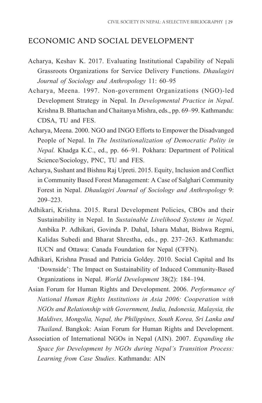## ECONOMIC AND SOCIAL DEVELOPMENT

- Acharya, Keshav K. 2017. Evaluating Institutional Capability of Nepali Grassroots Organizations for Service Delivery Functions. *Dhaulagiri Journal of Sociology and Anthropology* 11: 60–95
- Acharya, Meena. 1997. Non-government Organizations (NGO)-led Development Strategy in Nepal. In *Developmental Practice in Nepal*. Krishna B. Bhattachan and Chaitanya Mishra, eds., pp. 69–99. Kathmandu: CDSA, TU and FES.
- Acharya, Meena. 2000. NGO and INGO Efforts to Empower the Disadvanged People of Nepal. In *The Institutionalization of Democratic Polity in Nepal.* Khadga K.C., ed., pp. 66–91. Pokhara: Department of Political Science/Sociology, PNC, TU and FES.
- Acharya, Sushant and Bishnu Raj Upreti. 2015. Equity, Inclusion and Conflict in Community Based Forest Management: A Case of Salghari Community Forest in Nepal. *Dhaulagiri Journal of Sociology and Anthropology* 9: 209–223.
- Adhikari, Krishna. 2015. Rural Development Policies, CBOs and their Sustainability in Nepal. In *Sustainable Livelihood Systems in Nepal.*  Ambika P. Adhikari, Govinda P. Dahal, Ishara Mahat, Bishwa Regmi, Kalidas Subedi and Bharat Shrestha, eds., pp. 237–263. Kathmandu: IUCN and Ottawa: Canada Foundation for Nepal (CFFN).
- Adhikari, Krishna Prasad and Patricia Goldey. 2010. Social Capital and Its 'Downside': The Impact on Sustainability of Induced Community-Based Organizations in Nepal. *World Development* 38(2): 184–194.
- Asian Forum for Human Rights and Development. 2006. *Performance of National Human Rights Institutions in Asia 2006: Cooperation with NGOs and Relationship with Government, India, Indonesia, Malaysia, the Maldives, Mongolia, Nepal, the Philippines, South Korea, Sri Lanka and Thailand*. Bangkok: Asian Forum for Human Rights and Development.
- Association of International NGOs in Nepal (AIN). 2007. *Expanding the Space for Development by NGOs during Nepal's Transition Process: Learning from Case Studies*. Kathmandu: AIN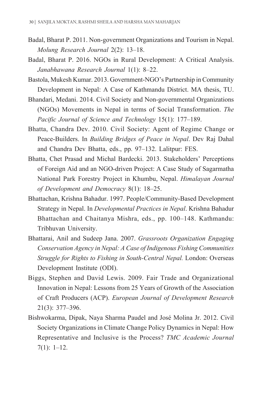- Badal, Bharat P. 2011. Non-government Organizations and Tourism in Nepal. *Molung Research Journal* 2(2): 13–18.
- Badal, Bharat P. 2016. NGOs in Rural Development: A Critical Analysis. *Janabhawana Research Journal* 1(1): 8–22.
- Bastola, Mukesh Kumar. 2013. Government-NGO's Partnership in Community Development in Nepal: A Case of Kathmandu District. MA thesis, TU.
- Bhandari, Medani. 2014. Civil Society and Non-governmental Organizations (NGOs) Movements in Nepal in terms of Social Transformation. *The Pacific Journal of Science and Technology* 15(1): 177–189.
- Bhatta, Chandra Dev. 2010. Civil Society: Agent of Regime Change or Peace-Builders. In *Building Bridges of Peace in Nepal*. Dev Raj Dahal and Chandra Dev Bhatta, eds., pp. 97–132. Lalitpur: FES.
- Bhatta, Chet Prasad and Michal Bardecki. 2013. Stakeholders' Perceptions of Foreign Aid and an NGO-driven Project: A Case Study of Sagarmatha National Park Forestry Project in Khumbu, Nepal. *Himalayan Journal of Development and Democracy* 8(1): 18–25.
- Bhattachan, Krishna Bahadur. 1997. People/Community-Based Development Strategy in Nepal. In *Developmental Practices in Nepal*. Krishna Bahadur Bhattachan and Chaitanya Mishra, eds., pp. 100–148. Kathmandu: Tribhuvan University.
- Bhattarai, Anil and Sudeep Jana. 2007. *Grassroots Organization Engaging Conservation Agency in Nepal: A Case of Indigenous Fishing Communities Struggle for Rights to Fishing in South-Central Nepal.* London: Overseas Development Institute (ODI).
- Biggs, Stephen and David Lewis. 2009. Fair Trade and Organizational Innovation in Nepal: Lessons from 25 Years of Growth of the Association of Craft Producers (ACP). *European Journal of Development Research*  21(3): 377–396.
- Bishwokarma, Dipak, Naya Sharma Paudel and José Molina Jr. 2012. Civil Society Organizations in Climate Change Policy Dynamics in Nepal: How Representative and Inclusive is the Process? *TMC Academic Journal*  7(1): 1–12.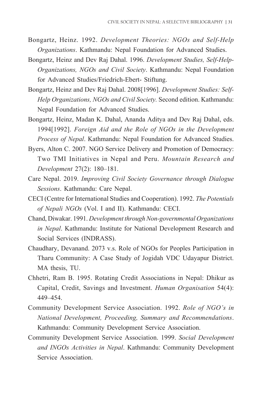- Bongartz, Heinz. 1992. *Development Theories: NGOs and Self-Help Organizations*. Kathmandu: Nepal Foundation for Advanced Studies.
- Bongartz, Heinz and Dev Raj Dahal. 1996. *Development Studies, Self-Help-Organizations, NGOs and Civil Society*. Kathmandu: Nepal Foundation for Advanced Studies/Friedrich-Ebert- Stiftung.
- Bongartz, Heinz and Dev Raj Dahal. 2008[1996]. *Development Studies: Self-Help Organizations, NGOs and Civil Society.* Second edition. Kathmandu: Nepal Foundation for Advanced Studies.
- Bongartz, Heinz, Madan K. Dahal, Ananda Aditya and Dev Raj Dahal, eds. 1994[1992]. *Foreign Aid and the Role of NGOs in the Development Process of Nepal*. Kathmandu: Nepal Foundation for Advanced Studies.
- Byers, Alton C. 2007. NGO Service Delivery and Promotion of Democracy: Two TMI Initiatives in Nepal and Peru. *Mountain Research and Development* 27(2): 180–181.
- Care Nepal. 2019. *Improving Civil Society Governance through Dialogue Sessions*. Kathmandu: Care Nepal.
- CECI (Centre for International Studies and Cooperation). 1992. *The Potentials of Nepali NGOs* (Vol. I and II). Kathmandu: CECI.
- Chand, Diwakar. 1991. *Development through Non-governmental Organizations in Nepal*. Kathmandu: Institute for National Development Research and Social Services (INDRASS).
- Chaudhary, Devanand. 2073 v.s. Role of NGOs for Peoples Participation in Tharu Community: A Case Study of Jogidah VDC Udayapur District. MA thesis, TU.
- Chhetri, Ram B. 1995. Rotating Credit Associations in Nepal: Dhikur as Capital, Credit, Savings and Investment. *Human Organisation* 54(4): 449–454.
- Community Development Service Association. 1992. *Role of NGO's in National Development, Proceeding, Summary and Recommendations*. Kathmandu: Community Development Service Association.
- Community Development Service Association. 1999. *Social Development and INGOs Activities in Nepal*. Kathmandu: Community Development Service Association.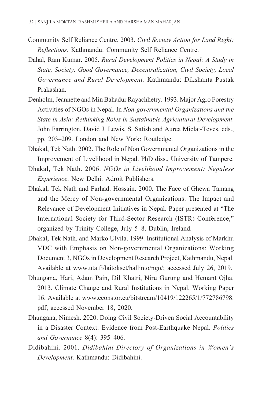- Community Self Reliance Centre. 2003. *Civil Society Action for Land Right: Reflections*. Kathmandu: Community Self Reliance Centre.
- Dahal, Ram Kumar. 2005. *Rural Development Politics in Nepal: A Study in State, Society, Good Governance, Decentralization, Civil Society, Local Governance and Rural Development.* Kathmandu: Dikshanta Pustak Prakashan.
- Denholm, Jeannette and Min Bahadur Rayachhetry. 1993. Major Agro Forestry Activities of NGOs in Nepal. In *Non-governmental Organizations and the State in Asia: Rethinking Roles in Sustainable Agricultural Development*. John Farrington, David J. Lewis, S. Satish and Aurea Miclat-Teves, eds., pp. 203–209. London and New York: Routledge.
- Dhakal, Tek Nath. 2002. The Role of Non Governmental Organizations in the Improvement of Livelihood in Nepal. PhD diss., University of Tampere.
- Dhakal, Tek Nath. 2006. *NGOs in Livelihood Improvement: Nepalese Experience*. New Delhi: Adroit Publishers.
- Dhakal, Tek Nath and Farhad. Hossain. 2000. The Face of Ghewa Tamang and the Mercy of Non-governmental Organizations: The Impact and Relevance of Development Initiatives in Nepal. Paper presented at "The International Society for Third-Sector Research (ISTR) Conference," organized by Trinity College, July 5–8, Dublin, Ireland.
- Dhakal, Tek Nath. and Marko Ulvila. 1999. Institutional Analysis of Markhu VDC with Emphasis on Non-governmental Organizations: Working Document 3, NGOs in Development Research Project, Kathmandu, Nepal. Available at www.uta.fi/laitokset/hallinto/ngo/; accessed July 26, 2019.
- Dhungana, Hari, Adam Pain, Dil Khatri, Niru Gurung and Hemant Ojha. 2013. Climate Change and Rural Institutions in Nepal. Working Paper 16. Available at www.econstor.eu/bitstream/10419/122265/1/772786798. pdf; accessed November 18, 2020.
- Dhungana, Nimesh. 2020. Doing Civil Society-Driven Social Accountability in a Disaster Context: Evidence from Post-Earthquake Nepal. *Politics and Governance* 8(4): 395–406.
- Didibahini. 2001. *Didibahini Directory of Organizations in Women's Development*. Kathmandu: Didibahini.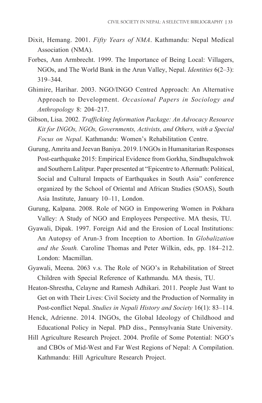- Dixit, Hemang. 2001. *Fifty Years of NMA*. Kathmandu: Nepal Medical Association (NMA).
- Forbes, Ann Armbrecht. 1999. The Importance of Being Local: Villagers, NGOs, and The World Bank in the Arun Valley, Nepal. *Identities* 6(2–3): 319–344.
- Ghimire, Harihar. 2003. NGO/INGO Centred Approach: An Alternative Approach to Development. *Occasional Papers in Sociology and Anthropology* 8: 204–217.
- Gibson, Lisa. 2002*. Trafficking Information Package: An Advocacy Resource Kit for INGOs, NGOs, Governments, Activists, and Others, with a Special Focus on Nepal*. Kathmandu: Women's Rehabilitation Centre.
- Gurung, Amrita and Jeevan Baniya. 2019. I/NGOs in Humanitarian Responses Post-earthquake 2015: Empirical Evidence from Gorkha, Sindhupalchwok and Southern Lalitpur. Paper presented at "Epicentre to Aftermath: Political, Social and Cultural Impacts of Earthquakes in South Asia" conference organized by the School of Oriental and African Studies (SOAS), South Asia Institute, January 10–11, London.
- Gurung, Kalpana. 2008. Role of NGO in Empowering Women in Pokhara Valley: A Study of NGO and Employees Perspective. MA thesis, TU.
- Gyawali, Dipak. 1997. Foreign Aid and the Erosion of Local Institutions: An Autopsy of Arun-3 from Inception to Abortion. In *Globalization and the South.* Caroline Thomas and Peter Wilkin, eds, pp. 184–212. London: Macmillan.
- Gyawali, Meena. 2063 v.s. The Role of NGO's in Rehabilitation of Street Children with Special Reference of Kathmandu. MA thesis, TU.
- Heaton-Shrestha, Celayne and Ramesh Adhikari. 2011. People Just Want to Get on with Their Lives: Civil Society and the Production of Normality in Post-conflict Nepal. *Studies in Nepali History and Society* 16(1): 83–114.
- Henck, Adrienne. 2014. INGOs, the Global Ideology of Childhood and Educational Policy in Nepal. PhD diss., Pennsylvania State University.
- Hill Agriculture Research Project. 2004. Profile of Some Potential: NGO's and CBOs of Mid-West and Far West Regions of Nepal: A Compilation. Kathmandu: Hill Agriculture Research Project.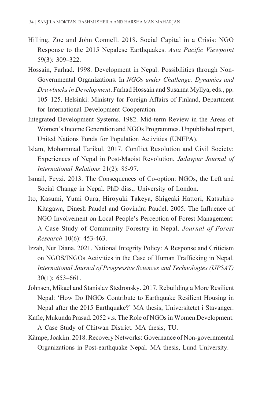- Hilling, Zoe and John Connell. 2018. Social Capital in a Crisis: NGO Response to the 2015 Nepalese Earthquakes. *Asia Pacific Viewpoint*  59(3): 309–322.
- Hossain, Farhad. 1998. Development in Nepal: Possibilities through Non-Governmental Organizations. In *NGOs under Challenge: Dynamics and Drawbacks in Development*. Farhad Hossain and Susanna Myllya, eds., pp. 105–125. Helsinki: Ministry for Foreign Affairs of Finland, Department for International Development Cooperation.
- Integrated Development Systems. 1982. Mid-term Review in the Areas of Women's Income Generation and NGOs Programmes. Unpublished report, United Nations Funds for Population Activities (UNFPA).
- Islam, Mohammad Tarikul. 2017. Conflict Resolution and Civil Society: Experiences of Nepal in Post-Maoist Revolution. *Jadavpur Journal of International Relations* 21(2): 85-97.
- Ismail, Feyzi. 2013. The Consequences of Co-option: NGOs, the Left and Social Change in Nepal. PhD diss., University of London.
- Ito, Kasumi, Yumi Oura, Hiroyuki Takeya, Shigeaki Hattori, Katsuhiro Kitagawa, Dinesh Paudel and Govindra Paudel. 2005. The Influence of NGO Involvement on Local People's Perception of Forest Management: A Case Study of Community Forestry in Nepal. *Journal of Forest Research* 10(6): 453-463.
- Izzah, Nur Diana. 2021. National Integrity Policy: A Response and Criticism on NGOS/INGOs Activities in the Case of Human Trafficking in Nepal. *International Journal of Progressive Sciences and Technologies (IJPSAT)* 30(1): 653–661.
- Johnsen, Mikael and Stanislav Stedronsky. 2017. Rebuilding a More Resilient Nepal: 'How Do INGOs Contribute to Earthquake Resilient Housing in Nepal after the 2015 Earthquake?' MA thesis, Universitetet i Stavanger.
- Kafle, Mukunda Prasad. 2052 v.s. The Role of NGOs in Women Development: A Case Study of Chitwan District. MA thesis, TU.
- Kämpe, Joakim. 2018. Recovery Networks: Governance of Non-governmental Organizations in Post-earthquake Nepal. MA thesis, Lund University.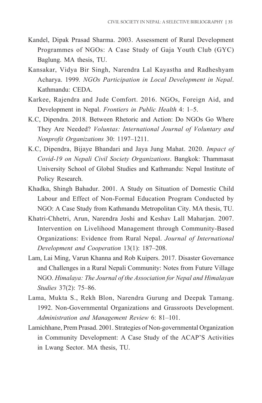- Kandel, Dipak Prasad Sharma. 2003. Assessment of Rural Development Programmes of NGOs: A Case Study of Gaja Youth Club (GYC) Baglung. MA thesis, TU.
- Kansakar, Vidya Bir Singh, Narendra Lal Kayastha and Radheshyam Acharya. 1999*. NGOs Participation in Local Development in Nepal*. Kathmandu: CEDA.
- Karkee, Rajendra and Jude Comfort. 2016. NGOs, Foreign Aid, and Development in Nepal. *Frontiers in Public Health* 4: 1–5.
- K.C, Dipendra. 2018. Between Rhetoric and Action: Do NGOs Go Where They Are Needed? *Voluntas: International Journal of Voluntary and Nonprofit Organizations* 30: 1197–1211.
- K.C, Dipendra, Bijaye Bhandari and Jaya Jung Mahat. 2020. *Impact of Covid-19 on Nepali Civil Society Organizations*. Bangkok: Thammasat University School of Global Studies and Kathmandu: Nepal Institute of Policy Research.
- Khadka, Shingh Bahadur. 2001. A Study on Situation of Domestic Child Labour and Effect of Non-Formal Education Program Conducted by NGO: A Case Study from Kathmandu Metropolitan City. MA thesis, TU.
- Khatri-Chhetri, Arun, Narendra Joshi and Keshav Lall Maharjan. 2007. Intervention on Livelihood Management through Community-Based Organizations: Evidence from Rural Nepal. *Journal of International Development and Cooperation* 13(1): 187–208.
- Lam, Lai Ming, Varun Khanna and Rob Kuipers. 2017. Disaster Governance and Challenges in a Rural Nepali Community: Notes from Future Village NGO. *Himalaya: The Journal of the Association for Nepal and Himalayan Studies* 37(2): 75–86.
- Lama, Mukta S., Rekh Blon, Narendra Gurung and Deepak Tamang. 1992. Non-Governmental Organizations and Grassroots Development. *Administration and Management Review* 6: 81–101.
- Lamichhane, Prem Prasad. 2001. Strategies of Non-governmental Organization in Community Development: A Case Study of the ACAP'S Activities in Lwang Sector. MA thesis, TU.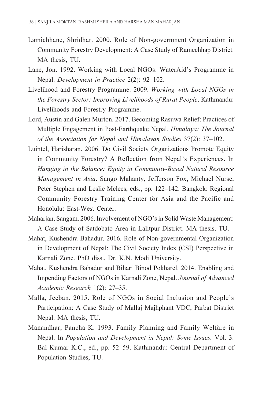- Lamichhane, Shridhar. 2000. Role of Non-government Organization in Community Forestry Development: A Case Study of Ramechhap District. MA thesis, TU.
- Lane, Jon. 1992. Working with Local NGOs: WaterAid's Programme in Nepal. *Development in Practice* 2(2): 92–102.
- Livelihood and Forestry Programme. 2009. *Working with Local NGOs in the Forestry Sector: Improving Livelihoods of Rural People*. Kathmandu: Livelihoods and Forestry Programme.
- Lord, Austin and Galen Murton. 2017. Becoming Rasuwa Relief: Practices of Multiple Engagement in Post-Earthquake Nepal. *Himalaya: The Journal of the Association for Nepal and Himalayan Studies* 37(2): 37–102.
- Luintel, Harisharan. 2006. Do Civil Society Organizations Promote Equity in Community Forestry? A Reflection from Nepal's Experiences. In *Hanging in the Balance: Equity in Community-Based Natural Resource Management in Asia*. Sango Mahanty, Jefferson Fox, Michael Nurse, Peter Stephen and Leslie Mclees, eds., pp. 122–142. Bangkok: Regional Community Forestry Training Center for Asia and the Pacific and Honolulu: East-West Center.
- Maharjan, Sangam. 2006. Involvement of NGO's in Solid Waste Management: A Case Study of Satdobato Area in Lalitpur District. MA thesis, TU.
- Mahat, Kushendra Bahadur. 2016. Role of Non-governmental Organization in Development of Nepal: The Civil Society Index (CSI) Perspective in Karnali Zone. PhD diss., Dr. K.N. Modi University.
- Mahat, Kushendra Bahadur and Bihari Binod Pokharel. 2014. Enabling and Impending Factors of NGOs in Karnali Zone, Nepal. *Journal of Advanced Academic Research* 1(2): 27–35.
- Malla, Jeeban. 2015. Role of NGOs in Social Inclusion and People's Participation: A Case Study of Mallaj Majhphant VDC, Parbat District Nepal. MA thesis, TU.
- Manandhar, Pancha K. 1993. Family Planning and Family Welfare in Nepal. In *Population and Development in Nepal: Some Issues.* Vol. 3. Bal Kumar K.C., ed., pp. 52–59. Kathmandu: Central Department of Population Studies, TU.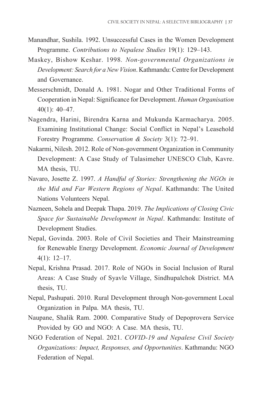- Manandhar, Sushila. 1992. Unsuccessful Cases in the Women Development Programme. *Contributions to Nepalese Studies* 19(1): 129–143.
- Maskey, Bishow Keshar. 1998*. Non-governmental Organizations in Development: Search for a New Vision*. Kathmandu: Centre for Development and Governance.
- Messerschmidt, Donald A. 1981. Nogar and Other Traditional Forms of Cooperation in Nepal: Significance for Development. *Human Organisation* 40(1): 40–47.
- Nagendra, Harini, Birendra Karna and Mukunda Karmacharya. 2005. Examining Institutional Change: Social Conflict in Nepal's Leasehold Forestry Programme*. Conservation & Society* 3(1): 72–91.
- Nakarmi, Nilesh. 2012. Role of Non-government Organization in Community Development: A Case Study of Tulasimeher UNESCO Club, Kavre. MA thesis, TU.
- Navaro, Josette Z. 1997. *A Handful of Stories: Strengthening the NGOs in the Mid and Far Western Regions of Nepal*. Kathmandu: The United Nations Volunteers Nepal.
- Nazneen, Sohela and Deepak Thapa. 2019. *The Implications of Closing Civic Space for Sustainable Development in Nepal*. Kathmandu: Institute of Development Studies.
- Nepal, Govinda. 2003. Role of Civil Societies and Their Mainstreaming for Renewable Energy Development. *Economic Journal of Development*  4(1): 12–17.
- Nepal, Krishna Prasad. 2017. Role of NGOs in Social Inclusion of Rural Areas: A Case Study of Syavle Village, Sindhupalchok District. MA thesis, TU.
- Nepal, Pashupati. 2010. Rural Development through Non-government Local Organization in Palpa. MA thesis, TU.
- Naupane, Shalik Ram. 2000. Comparative Study of Depoprovera Service Provided by GO and NGO: A Case. MA thesis, TU.
- NGO Federation of Nepal. 2021. *COVID-19 and Nepalese Civil Society Organizations: Impact, Responses, and Opportunities*. Kathmandu: NGO Federation of Nepal.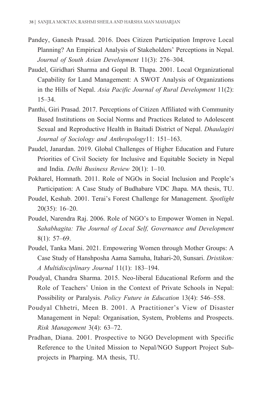- Pandey, Ganesh Prasad. 2016. Does Citizen Participation Improve Local Planning? An Empirical Analysis of Stakeholders' Perceptions in Nepal. *Journal of South Asian Development* 11(3): 276–304.
- Paudel, Giridhari Sharma and Gopal B. Thapa. 2001. Local Organizational Capability for Land Management: A SWOT Analysis of Organizations in the Hills of Nepal. *Asia Pacific Journal of Rural Development* 11(2): 15–34.
- Panthi, Giri Prasad. 2017. Perceptions of Citizen Affiliated with Community Based Institutions on Social Norms and Practices Related to Adolescent Sexual and Reproductive Health in Baitadi District of Nepal. *Dhaulagiri Journal of Sociology and Anthropology*11: 151–163.
- Paudel, Janardan. 2019. Global Challenges of Higher Education and Future Priorities of Civil Society for Inclusive and Equitable Society in Nepal and India. *Delhi Business Review* 20(1): 1–10.
- Pokharel, Homnath. 2011. Role of NGOs in Social Inclusion and People's Participation: A Case Study of Budhabare VDC Jhapa. MA thesis, TU.
- Poudel, Keshab. 2001. Terai's Forest Challenge for Management. *Spotlight* 20(35): 16–20.
- Poudel, Narendra Raj. 2006. Role of NGO's to Empower Women in Nepal. *Sahabhagita: The Journal of Local Self, Governance and Development*  8(1): 57–69.
- Poudel, Tanka Mani. 2021. Empowering Women through Mother Groups: A Case Study of Hanshposha Aama Samuha, Itahari-20, Sunsari. *Dristikon: A Multidisciplinary Journal* 11(1): 183–194.
- Poudyal, Chandra Sharma. 2015. Neo-liberal Educational Reform and the Role of Teachers' Union in the Context of Private Schools in Nepal: Possibility or Paralysis. *Policy Future in Education* 13(4): 546–558.
- Poudyal Chhetri, Meen B. 2001. A Practitioner's View of Disaster Management in Nepal: Organisation, System, Problems and Prospects. *Risk Management* 3(4): 63–72.
- Pradhan, Diana. 2001. Prospective to NGO Development with Specific Reference to the United Mission to Nepal/NGO Support Project Subprojects in Pharping. MA thesis, TU.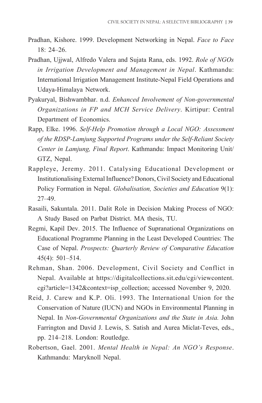- Pradhan, Kishore. 1999. Development Networking in Nepal. *Face to Face* 18: 24–26.
- Pradhan, Ujjwal, Alfredo Valera and Sujata Rana, eds. 1992. *Role of NGOs in Irrigation Development and Management in Nepal*. Kathmandu: International Irrigation Management Institute-Nepal Field Operations and Udaya-Himalaya Network.
- Pyakuryal, Bishwambhar. n.d. *Enhanced Involvement of Non-governmental Organizations in FP and MCH Service Delivery*. Kirtipur: Central Department of Economics.
- Rapp, Elke. 1996. *Self-Help Promotion through a Local NGO: Assessment of the RDSP-Lamjung Supported Programs under the Self-Reliant Society Center in Lamjung, Final Report*. Kathmandu: Impact Monitoring Unit/ GTZ, Nepal.
- Rappleye, Jeremy. 2011. Catalysing Educational Development or Institutionalising External Influence? Donors, Civil Society and Educational Policy Formation in Nepal. *Globalisation, Societies and Education* 9(1): 27–49.
- Rasaili, Sakuntala. 2011. Dalit Role in Decision Making Process of NGO: A Study Based on Parbat District. MA thesis, TU.
- Regmi, Kapil Dev. 2015. The Influence of Supranational Organizations on Educational Programme Planning in the Least Developed Countries: The Case of Nepal. *Prospects: Quarterly Review of Comparative Education*  45(4): 501–514.
- Rehman, Shan. 2006. Development, Civil Society and Conflict in Nepal. Available at https://digitalcollections.sit.edu/cgi/viewcontent. cgi?article=1342&context=isp\_collection; accessed November 9, 2020.
- Reid, J. Carew and K.P. Oli. 1993. The International Union for the Conservation of Nature (IUCN) and NGOs in Environmental Planning in Nepal. In *Non-Governmental Organizations and the State in Asia.* John Farrington and David J. Lewis, S. Satish and Aurea Miclat-Teves, eds., pp. 214–218. London: Routledge.
- Robertson, Gael. 2001. *Mental Health in Nepal: An NGO's Response*. Kathmandu: Maryknoll Nepal.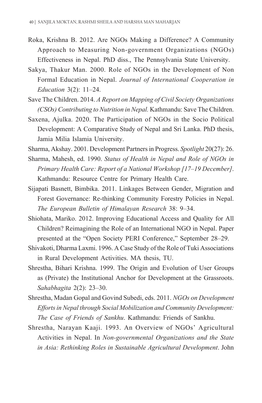- Roka, Krishna B. 2012. Are NGOs Making a Difference? A Community Approach to Measuring Non-government Organizations (NGOs) Effectiveness in Nepal. PhD diss., The Pennsylvania State University.
- Sakya, Thakur Man. 2000. Role of NGOs in the Development of Non Formal Education in Nepal. *Journal of International Cooperation in Education* 3(2): 11–24.
- Save The Children. 2014. *A Report on Mapping of Civil Society Organizations (CSOs) Contributing to Nutrition in Nepal.* Kathmandu: Save The Children.
- Saxena, Ajulka. 2020. The Participation of NGOs in the Socio Political Development: A Comparative Study of Nepal and Sri Lanka. PhD thesis, Jamia Milia Islamia University.
- Sharma, Akshay. 2001. Development Partners in Progress. *Spotlight* 20(27): 26.
- Sharma, Mahesh, ed. 1990. *Status of Health in Nepal and Role of NGOs in Primary Health Care: Report of a National Workshop [17–19 December]*. Kathmandu: Resource Centre for Primary Health Care.
- Sijapati Basnett, Bimbika. 2011. Linkages Between Gender, Migration and Forest Governance: Re-thinking Community Forestry Policies in Nepal. *The European Bulletin of Himalayan Research* 38: 9–34.
- Shiohata, Mariko. 2012. Improving Educational Access and Quality for All Children? Reimagining the Role of an International NGO in Nepal. Paper presented at the "Open Society PERI Conference," September 28–29.
- Shivakoti, Dharma Laxmi. 1996. A Case Study of the Role of Tuki Associations in Rural Development Activities. MA thesis, TU.
- Shrestha, Bihari Krishna. 1999. The Origin and Evolution of User Groups as (Private) the Institutional Anchor for Development at the Grassroots. *Sahabhagita* 2(2): 23–30.
- Shrestha, Madan Gopal and Govind Subedi, eds. 2011. *NGOs on Development Efforts in Nepal through Social Mobilization and Community Development: The Case of Friends of Sankhu*. Kathmandu: Friends of Sankhu.
- Shrestha, Narayan Kaaji. 1993. An Overview of NGOs' Agricultural Activities in Nepal. In *Non-governmental Organizations and the State in Asia: Rethinking Roles in Sustainable Agricultural Development*. John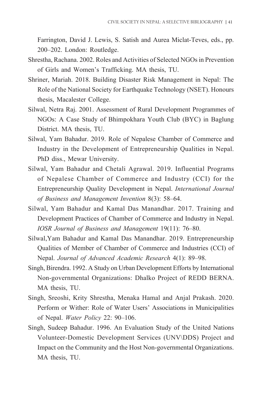Farrington, David J. Lewis, S. Satish and Aurea Miclat-Teves, eds., pp. 200–202. London: Routledge.

- Shrestha, Rachana. 2002. Roles and Activities of Selected NGOs in Prevention of Girls and Women's Trafficking. MA thesis, TU.
- Shriner, Mariah. 2018. Building Disaster Risk Management in Nepal: The Role of the National Society for Earthquake Technology (NSET). Honours thesis, Macalester College.
- Silwal, Netra Raj. 2001. Assessment of Rural Development Programmes of NGOs: A Case Study of Bhimpokhara Youth Club (BYC) in Baglung District. MA thesis, TU.
- Silwal, Yam Bahadur. 2019. Role of Nepalese Chamber of Commerce and Industry in the Development of Entrepreneurship Qualities in Nepal. PhD diss., Mewar University.
- Silwal, Yam Bahadur and Chetali Agrawal. 2019. Influential Programs of Nepalese Chamber of Commerce and Industry (CCI) for the Entrepreneurship Quality Development in Nepal. *International Journal of Business and Management Invention* 8(3): 58–64.
- Silwal, Yam Bahadur and Kamal Das Manandhar. 2017. Training and Development Practices of Chamber of Commerce and Industry in Nepal. *IOSR Journal of Business and Management* 19(11): 76–80.
- Silwal,Yam Bahadur and Kamal Das Manandhar. 2019. Entrepreneurship Qualities of Member of Chamber of Commerce and Industries (CCI) of Nepal. *Journal of Advanced Academic Research* 4(1): 89–98.
- Singh, Birendra. 1992. A Study on Urban Development Efforts by International Non-governmental Organizations: Dhalko Project of REDD BERNA. MA thesis, TU.
- Singh, Sreoshi, Krity Shrestha, Menaka Hamal and Anjal Prakash. 2020. Perform or Wither: Role of Water Users' Associations in Municipalities of Nepal. *Water Policy* 22: 90–106.
- Singh, Sudeep Bahadur. 1996. An Evaluation Study of the United Nations Volunteer-Domestic Development Services (UNV\DDS) Project and Impact on the Community and the Host Non-governmental Organizations. MA thesis, TU.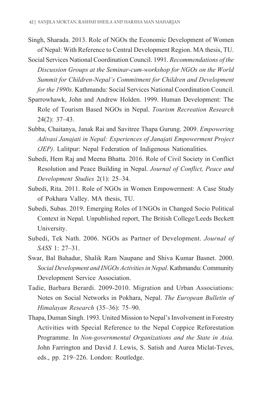- Singh, Sharada. 2013. Role of NGOs the Economic Development of Women of Nepal: With Reference to Central Development Region. MA thesis, TU.
- Social Services National Coordination Council. 1991. *Recommendations of the Discussion Groups at the Seminar-cum-workshop for NGOs on the World Summit for Children-Nepal's Commitment for Children and Development for the 1990s.* Kathmandu: Social Services National Coordination Council.
- Sparrowhawk, John and Andrew Holden. 1999. Human Development: The Role of Tourism Based NGOs in Nepal. *Tourism Recreation Research*  24(2): 37–43.
- Subba, Chaitanya, Janak Rai and Savitree Thapa Gurung. 2009. *Empowering Adivasi Janajati in Nepal: Experiences of Janajati Empowerment Project (JEP)*. Lalitpur: Nepal Federation of Indigenous Nationalities.
- Subedi, Hem Raj and Meena Bhatta. 2016. Role of Civil Society in Conflict Resolution and Peace Building in Nepal. *Journal of Conflict, Peace and Development Studies* 2(1): 25–34.
- Subedi, Rita. 2011. Role of NGOs in Women Empowerment: A Case Study of Pokhara Valley. MA thesis, TU.
- Subedi, Subas. 2019. Emerging Roles of I/NGOs in Changed Socio Political Context in Nepal. Unpublished report, The British College/Leeds Beckett University.
- Subedi, Tek Nath. 2006. NGOs as Partner of Development. *Journal of SASS* 1: 27–31.
- Swar, Bal Bahadur, Shalik Ram Naupane and Shiva Kumar Basnet. 2000. *Social Development and INGOs Activities in Nepal*. Kathmandu: Community Development Service Association.
- Tadie, Barbara Berardi. 2009-2010. Migration and Urban Associations: Notes on Social Networks in Pokhara, Nepal. *The European Bulletin of Himalayan Research* (35–36): 75–90.
- Thapa, Duman Singh. 1993. United Mission to Nepal's Involvement in Forestry Activities with Special Reference to the Nepal Coppice Reforestation Programme. In *Non-governmental Organizations and the State in Asia.*  John Farrington and David J. Lewis, S. Satish and Aurea Miclat-Teves, eds., pp. 219–226. London: Routledge.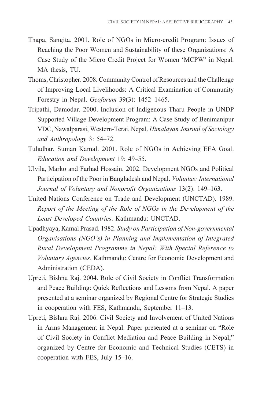- Thapa, Sangita. 2001. Role of NGOs in Micro-credit Program: Issues of Reaching the Poor Women and Sustainability of these Organizations: A Case Study of the Micro Credit Project for Women 'MCPW' in Nepal. MA thesis, TU.
- Thoms, Christopher. 2008. Community Control of Resources and the Challenge of Improving Local Livelihoods: A Critical Examination of Community Forestry in Nepal. *Geoforum* 39(3): 1452–1465.
- Tripathi, Damodar. 2000. Inclusion of Indigenous Tharu People in UNDP Supported Village Development Program: A Case Study of Benimanipur VDC, Nawalparasi, Western-Terai, Nepal. *Himalayan Journal of Sociology and Anthropology* 3: 54–72.
- Tuladhar, Suman Kamal. 2001. Role of NGOs in Achieving EFA Goal. *Education and Development* 19: 49–55.
- Ulvila, Marko and Farhad Hossain. 2002. Development NGOs and Political Participation of the Poor in Bangladesh and Nepal. *Voluntas: International Journal of Voluntary and Nonprofit Organizations* 13(2): 149–163.
- United Nations Conference on Trade and Development (UNCTAD). 1989. *Report of the Meeting of the Role of NGOs in the Development of the Least Developed Countries*. Kathmandu: UNCTAD.
- Upadhyaya, Kamal Prasad. 1982. *Study on Participation of Non-governmental Organisations (NGO's) in Planning and Implementation of Integrated Rural Development Programme in Nepal: With Special Reference to Voluntary Agencies*. Kathmandu: Centre for Economic Development and Administration (CEDA).
- Upreti, Bishnu Raj. 2004. Role of Civil Society in Conflict Transformation and Peace Building: Quick Reflections and Lessons from Nepal. A paper presented at a seminar organized by Regional Centre for Strategic Studies in cooperation with FES, Kathmandu, September 11–13.
- Upreti, Bishnu Raj. 2006. Civil Society and Involvement of United Nations in Arms Management in Nepal. Paper presented at a seminar on "Role of Civil Society in Conflict Mediation and Peace Building in Nepal," organized by Centre for Economic and Technical Studies (CETS) in cooperation with FES, July 15–16.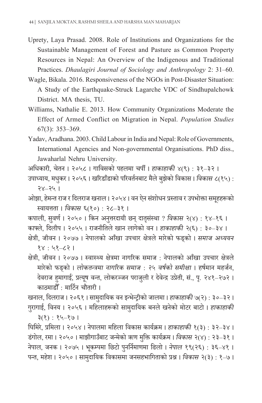- Uprety, Laya Prasad. 2008. Role of Institutions and Organizations for the Sustainable Management of Forest and Pasture as Common Property Resources in Nepal: An Overview of the Indigenous and Traditional Practices. *Dhaulagiri Journal of Sociology and Anthropology* 2: 31–60.
- Wagle, Bikala. 2016. Responsiveness of the NGOs in Post-Disaster Situation: A Study of the Earthquake-Struck Lagarche VDC of Sindhupalchowk District. MA thesis, TU.
- Williams, Nathalie E. 2013. How Community Organizations Moderate the Effect of Armed Conflict on Migration in Nepal. *Population Studies*  67(3): 353–369.
- Yadav, Aradhana. 2003. Child Labour in India and Nepal: Role of Governments, International Agencies and Non-governmental Organisations. PhD diss., Jawaharlal Nehru University.
- अधिकारी, चेतन । २०५८ । गाविसको पहलमा चर्पी । *हाकाहाकी ४(९) : ३१–३२* ।
- उपाध्याय, मधुकर । २०५६ । खरिडाँडाको परिवर्तनबाट मैले बुझेको विकास । *विकास ८*(१५) : २४–२५ ।
- ओझा, हमेन्त राज र दिलराज खनाल । २०५४ । वन ऐन सं शोधन प्रस्ताव र उपभोक्ता समहहरूको ू स्वायत्तता । *विकास* ६(१०) : २८–३१ ।
- कपाली, सुवर्ण । २०५० । किन अनुत्तरदायी छन् दातृसंस्था ? *विकास २*(४) : १४–१६ ।

काफ्ले, दिलीप । २०५५ । राजनीतिले खान लागेको वन । *हाकाहाकी* २(६) : ३०–३४ ।

- क्षेत्री, जीवन । २०७७ । नेपालको आँखा उपचार क्षेत्रले मारेको फड्को । *समाज अध्ययन*  १४ : ५१–८२ ।
- क्षेत्री, जीवन । २०७७ । स्वास्थ्य क्षेत्रमा नागरिक समाज : नेपालको आँखा उपचार क्षेत्रले मारेको फड्को । *लोकतन्त्रमा नागरिक समाज* : *२५ वर्षको समीक्षा* । हर्षमान महर्जन, देवराज हुमागाई; प्रत्यूष वन्त, लोकरञ्जन पराजुली र देवेन्द्र उप्रेती, सं., पृ. २४१–२७२ । काठमाडौ ँ : मार्टिन चौतारी ।

खनाल, दिलराज । २०६१ । सामदा ु यिक वन इन्भेन्ट्रीको जालमा । *हाकाहाकी* ७(२) : ३०–३२ । गुरागाई, विनय । २०५६ । महिलाहरूको सामुदायिक बनले खनेको मोटर बाटो । *हाकाहाकी* 

३(१) : १५–१७ ।

घिमिरे, प्रमिला । २०५४ । नेपालमा महिला विकास कार्यक्रम । *हाकाहाकी* १(३) : ३२–३४ । डं गोल, रमा । २०५० । माझीगाउँबाट जन्मेको ॠण मक्तिु कार्यक्रम । *विकास* २(४) : २३–३१ । नेपाल, जनक । २०७५ । भूकम्पमा छिटो पुनर्निमाणमा ढिलो । *नेपाल* १९(२६) : ३६–४१ । पन्त, महेश । २०५० । सामुदायिक विकासमा जनसहभागिताको प्रश्न । *विकास २*(३) : १–७ ।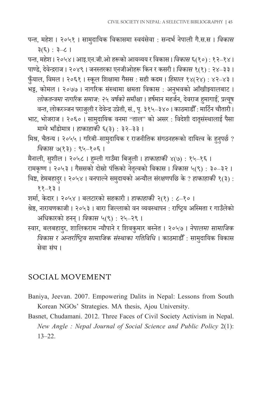पन्त, महेश । २०५१ । सामुदायिक विकासमा स्वयंसेवा : सन्दर्भ नेपाली गै.स.स । *विकास*  $3(\xi)$  :  $3-\zeta$  |

पन्त, महेश । २०५४ । आइ.एन.जी.ओ हरूको आयव्यय र विकास । *विकास* ६(१०) : १२–१४ । पाण्डे, दवे ेन्द्रराज । २०४९ । जनस्तरका एनजीओहरू किन र कसरी । *विकास* १(१) : २४–३३ । फँ ुयाल, विमल । २०६१ । स्कूल शिक्षामा गैसस : सही कदम । *हिमाल* १४(२४) : ४२–४३ । भट्ट, कोमल । २०७७ । नागरिक सं स्थामा क्षमता विकास : अनु भवको आँखीझ्यालबाट ।

- *लोकतन्त्रमा नागरिक समाज: २५ वर्षको समीक्षा* । हर्षमान महर्जन, देवराज हुमागाई, प्रत्यूष वन्त, लोकरञ्जन पराजुली र देवेन्द्र उप्रेती, सं., पृ. ३१५–३४० । काठमाडौँ : मार्टिन चौतारी । भाट, भोजराज । २०६० । सामुदायिक वनमा ''ताल'' को असर : विदेशी दातृसंस्थालाई पैसा
	- माग्ने भाँडोमात्र । *हाकाहाकी* ६(३) : ३२–३३ ।
- मिश्र, चैतन्य । २०५५ । गरिबी–सामुदायिक र राजनीतिक संगठनहरूको दायित्व के हुनुपर्छ ? *विकास* ७(१३) : ९५–१०६ ।
- मैनाली, सुशील । २०५८ । हुम्ली गाउँमा बिजुली । *हाकाहाकी ४*(७) : १५–१६ ।
- रामकृष्ण । २०५३ । गैससको दोस्रो पं क्तिको नेततृ्वको विकास । *विकास* ५(९) : ३०–३२ ।
- विष्ट, हेमबहादुर । २०५४ । वनपाल्ने समुदायको अन्यौल संरक्षणपछि के ? *हाकाहाकी* १(३) : ११–१३ ।
- शर्मा, केदार । २०५४ । बलटारको सहकारी । *हाकाहाकी* २(१) : ८–१० ।
- श्रेष्ठ, नारायणकाजी । २०५३ । बारा जिल्लाको वन व्यवस्थापन : राष्ट्रिय अस्मिता र गाउँलेको अधिकारको हनन् । *विकास ५*(९) : २५–२९ ।
- स्वार, बलबहा<u>द</u>र, शालिकराम न्यौपाने र शिवकुमार बस्नेत । २०५७ । *नेपालमा सामाजिक विकास र अन्तर्राष्ट्रिय सामाजिक संस्थाका गतिविधि* । काठमाडौँ : सामुदायिक विकास सेवा सं घ ।

## SOCIAL MOVEMENT

- Baniya, Jeevan. 2007. Empowering Dalits in Nepal: Lessons from South Korean NGOs' Strategies. MA thesis, Ajou University.
- Basnet, Chudamani. 2012. Three Faces of Civil Society Activism in Nepal. *New Angle : Nepal Journal of Social Science and Public Policy* 2(1): 13–22.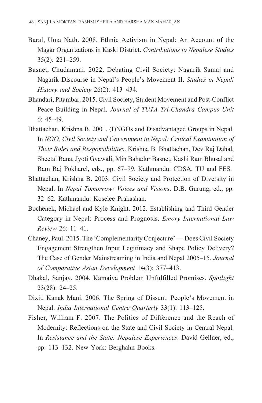- Baral, Uma Nath. 2008. Ethnic Activism in Nepal: An Account of the Magar Organizations in Kaski District. *Contributions to Nepalese Studies* 35(2): 221–259.
- Basnet, Chudamani. 2022. Debating Civil Society: Nagarik Samaj and Nagarik Discourse in Nepal's People's Movement II. *Studies in Nepali History and Society* 26(2): 413–434.
- Bhandari, Pitambar. 2015. Civil Society, Student Movement and Post-Conflict Peace Building in Nepal. *Journal of TUTA Tri-Chandra Campus Unit*  6: 45–49.
- Bhattachan, Krishna B. 2001. (I)NGOs and Disadvantaged Groups in Nepal. In *NGO, Civil Society and Government in Nepal: Critical Examination of Their Roles and Responsibilities*. Krishna B. Bhattachan, Dev Raj Dahal, Sheetal Rana, Jyoti Gyawali, Min Bahadur Basnet, Kashi Ram Bhusal and Ram Raj Pokharel, eds., pp. 67–99. Kathmandu: CDSA, TU and FES.
- Bhattachan, Krishna B. 2003. Civil Society and Protection of Diversity in Nepal. In *Nepal Tomorrow: Voices and Visions*. D.B. Gurung, ed., pp. 32–62. Kathmandu: Koselee Prakashan.
- Bochenek, Michael and Kyle Knight. 2012. Establishing and Third Gender Category in Nepal: Process and Prognosis. *Emory International Law Review* 26: 11–41.
- Chaney, Paul. 2015. The 'Complementarity Conjecture' Does Civil Society Engagement Strengthen Input Legitimacy and Shape Policy Delivery? The Case of Gender Mainstreaming in India and Nepal 2005–15. *Journal of Comparative Asian Development* 14(3): 377–413.
- Dhakal, Sanjay. 2004. Kamaiya Problem Unfulfilled Promises. *Spotlight* 23(28): 24–25.
- Dixit, Kanak Mani. 2006. The Spring of Dissent: People's Movement in Nepal. *India International Centre Quarterly* 33(1): 113–125.
- Fisher, William F. 2007. The Politics of Difference and the Reach of Modernity: Reflections on the State and Civil Society in Central Nepal. In *Resistance and the State: Nepalese Experiences*. David Gellner, ed., pp: 113–132. New York: Berghahn Books.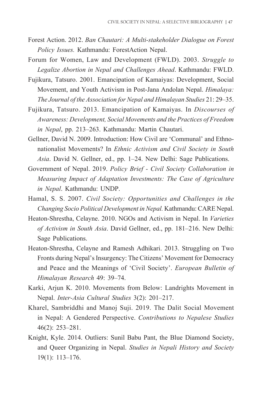- Forest Action. 2012. *Ban Chautari: A Multi-stakeholder Dialogue on Forest Policy Issues.* Kathmandu: ForestAction Nepal.
- Forum for Women, Law and Development (FWLD). 2003. *Struggle to Legalize Abortion in Nepal and Challenges Ahead*. Kathmandu: FWLD.
- Fujikura, Tatsuro. 2001. Emancipation of Kamaiyas: Development, Social Movement, and Youth Activism in Post-Jana Andolan Nepal. *Himalaya: The Journal of the Association for Nepal and Himalayan Studies* 21: 29–35.
- Fujikura, Tatsuro. 2013. Emancipation of Kamaiyas. In *Discourses of Awareness: Development, Social Movements and the Practices of Freedom in Nepal*, pp. 213–263. Kathmandu: Martin Chautari.
- Gellner, David N. 2009. Introduction: How Civil are 'Communal' and Ethnonationalist Movements? In *Ethnic Activism and Civil Society in South Asia*. David N. Gellner, ed., pp. 1–24. New Delhi: Sage Publications.
- Government of Nepal. 2019. *Policy Brief Civil Society Collaboration in Measuring Impact of Adaptation Investments: The Case of Agriculture in Nepal*. Kathmandu: UNDP.
- Hamal, S. S. 2007. *Civil Society: Opportunities and Challenges in the Changing Socio Political Development in Nepal.* Kathmandu: CARE Nepal.
- Heaton-Shrestha, Celayne. 2010. NGOs and Activism in Nepal. In *Varieties of Activism in South Asia*. David Gellner, ed., pp. 181–216. New Delhi: Sage Publications.
- Heaton-Shrestha, Celayne and Ramesh Adhikari. 2013. Struggling on Two Fronts during Nepal's Insurgency: The Citizens' Movement for Democracy and Peace and the Meanings of 'Civil Society'. *European Bulletin of Himalayan Research* 49: 39–74.
- Karki, Arjun K. 2010. Movements from Below: Landrights Movement in Nepal. *Inter-Asia Cultural Studies* 3(2): 201–217.
- Kharel, Sambriddhi and Manoj Suji. 2019. The Dalit Social Movement in Nepal: A Gendered Perspective. *Contributions to Nepalese Studies* 46(2): 253–281.
- Knight, Kyle. 2014. Outliers: Sunil Babu Pant, the Blue Diamond Society, and Queer Organizing in Nepal. *Studies in Nepali History and Society* 19(1): 113–176.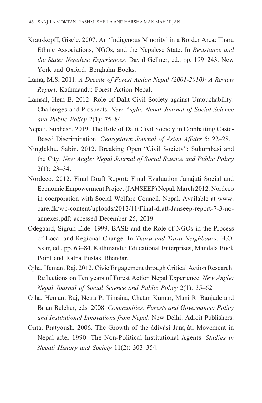- Krauskopff, Gisele. 2007. An 'Indigenous Minority' in a Border Area: Tharu Ethnic Associations, NGOs, and the Nepalese State. In *Resistance and the State: Nepalese Experiences*. David Gellner, ed., pp. 199–243. New York and Oxford: Berghahn Books.
- Lama, M.S. 2011. *A Decade of Forest Action Nepal (2001-2010): A Review Report*. Kathmandu: Forest Action Nepal.
- Lamsal, Hem B. 2012. Role of Dalit Civil Society against Untouchability: Challenges and Prospects. *New Angle: Nepal Journal of Social Science and Public Policy* 2(1): 75–84.
- Nepali, Subhash. 2019. The Role of Dalit Civil Society in Combatting Caste-Based Discrimination. *Georgetown Journal of Asian Affairs* 5: 22–28.
- Ninglekhu, Sabin. 2012. Breaking Open "Civil Society": Sukumbasi and the City. *New Angle: Nepal Journal of Social Science and Public Policy*  2(1): 23–34.
- Nordeco. 2012. Final Draft Report: Final Evaluation Janajati Social and Economic Empowerment Project (JANSEEP) Nepal, March 2012. Nordeco in coorporation with Social Welfare Council, Nepal. Available at www. care.dk/wp-content/uploads/2012/11/Final-draft-Janseep-report-7-3-noannexes.pdf; accessed December 25, 2019.
- Odegaard, Sigrun Eide. 1999. BASE and the Role of NGOs in the Process of Local and Regional Change. In *Tharu and Tarai Neighbours*. H.O. Skar, ed., pp. 63–84. Kathmandu: Educational Enterprises, Mandala Book Point and Ratna Pustak Bhandar.
- Ojha, Hemant Raj. 2012. Civic Engagement through Critical Action Research: Reflections on Ten years of Forest Action Nepal Experience. *New Angle: Nepal Journal of Social Science and Public Policy* 2(1): 35–62.
- Ojha, Hemant Raj, Netra P. Timsina, Chetan Kumar, Mani R. Banjade and Brian Belcher, eds. 2008. *Communities, Forests and Governance: Policy and Institutional Innovations from Nepal*. New Delhi: Adroit Publishers.
- Onta, Pratyoush. 2006. The Growth of the âdivàsi Janajàti Movement in Nepal after 1990: The Non-Political Institutional Agents. *Studies in Nepali History and Society* 11(2): 303–354.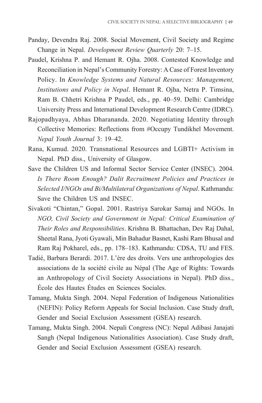- Panday, Devendra Raj. 2008. Social Movement, Civil Society and Regime Change in Nepal. *Development Review Quarterly* 20: 7–15.
- Paudel, Krishna P. and Hemant R. Ojha. 2008. Contested Knowledge and Reconciliation in Nepal's Community Forestry: A Case of Forest Inventory Policy. In *Knowledge Systems and Natural Resources: Management, Institutions and Policy in Nepal*. Hemant R. Ojha, Netra P. Timsina, Ram B. Chhetri Krishna P Paudel, eds., pp. 40–59. Delhi: Cambridge University Press and International Development Research Centre (IDRC).
- Rajopadhyaya, Abhas Dharananda. 2020. Negotiating Identity through Collective Memories: Reflections from #Occupy Tundikhel Movement. *Nepal Youth Journal* 3: 19–42.
- Rana, Kumud. 2020. Transnational Resources and LGBTI+ Activism in Nepal. PhD diss., University of Glasgow.
- Save the Children US and Informal Sector Service Center (INSEC). 2004. *Is There Room Enough? Dalit Recruitment Policies and Practices in Selected I/NGOs and Bi/Multilateral Organizations of Nepal*. Kathmandu: Save the Children US and INSEC.
- Sivakoti "Chintan," Gopal. 2001. Rastriya Sarokar Samaj and NGOs. In *NGO, Civil Society and Government in Nepal: Critical Examination of Their Roles and Responsibilities*. Krishna B. Bhattachan, Dev Raj Dahal, Sheetal Rana, Jyoti Gyawali, Min Bahadur Basnet, Kashi Ram Bhusal and Ram Raj Pokharel, eds., pp. 178–183. Kathmandu: CDSA, TU and FES.
- Tadié, Barbara Berardi. 2017. L'ère des droits. Vers une anthropologies des associations de la société civile au Népal (The Age of Rights: Towards an Anthropology of Civil Society Associations in Nepal). PhD diss., École des Hautes Études en Sciences Sociales.
- Tamang, Mukta Singh. 2004. Nepal Federation of Indigenous Nationalities (NEFIN): Policy Reform Appeals for Social Inclusion. Case Study draft, Gender and Social Exclusion Assessment (GSEA) research.
- Tamang, Mukta Singh. 2004. Nepali Congress (NC): Nepal Adibasi Janajati Sangh (Nepal Indigenous Nationalities Association). Case Study draft, Gender and Social Exclusion Assessment (GSEA) research.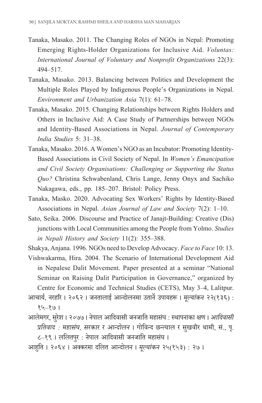- Tanaka, Masako. 2011. The Changing Roles of NGOs in Nepal: Promoting Emerging Rights-Holder Organizations for Inclusive Aid. *Voluntas: International Journal of Voluntary and Nonprofit Organizations* 22(3): 494–517.
- Tanaka, Masako. 2013. Balancing between Politics and Development the Multiple Roles Played by Indigenous People's Organizations in Nepal. *Environment and Urbanization Asia* 7(1): 61–78.
- Tanaka, Masako. 2015. Changing Relationships between Rights Holders and Others in Inclusive Aid: A Case Study of Partnerships between NGOs and Identity-Based Associations in Nepal. *Journal of Contemporary India Studies* 5: 31–38.
- Tanaka, Masako. 2016. A Women's NGO as an Incubator: Promoting Identity-Based Associations in Civil Society of Nepal. In *Women's Emancipation and Civil Society Organisations: Challenging or Supporting the Status Quo?* Christina Schwabenland, Chris Lange, Jenny Onyx and Sachiko Nakagawa, eds., pp. 185–207. Bristol: Policy Press.
- Tanaka, Masko. 2020. Advocating Sex Workers' Rights by Identity-Based Associations in Nepal. *Asian Journal of Law and Society* 7(2): 1–10.
- Sato, Seika. 2006. Discourse and Practice of Janajt-Building: Creative (Dis) junctions with Local Communities among the People from Yolmo. *Studies in Nepali History and Society* 11(2): 355–388.

Shakya, Anjana. 1996. NGOs need to Develop Advocacy. *Face to Face* 10: 13.

Vishwakarma, Hira. 2004. The Scenario of International Development Aid in Nepalese Dalit Movement. Paper presented at a seminar "National Seminar on Raising Dalit Participation in Governance," organized by Centre for Economic and Technical Studies (CETS), May 3–4, Lalitpur.

आचार्य, नरहरि । २०६२ । जनतालाई आन्दोलनमा उतार्ने उपायहरू । *मूल्यांकन* २२(१३६) : १५–१७ ।

- आलेमगर, सुरेश । २०७७ । नेपाल आदिवासी जनजाति महासंघ : स्थापनाका क्षण । *आदिवासी प्रतिवाद : महासंघ, सरकार र आन्दोलन* । गोविन्द छन्त्याल र सुखवीर थामी, सं., पृ. ८–१९ । ललितपुर : नेपाल आदिवासी जनजाति महासंघ ।
- आहुति । २०६४ । अक्करमा दलित आन्दोलन । *मूल्यांकन २*५(१५३) : २७ ।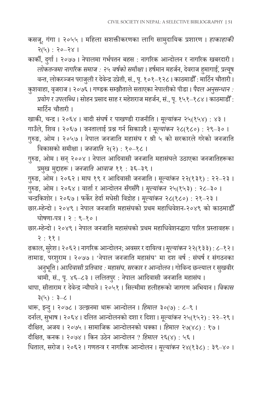कसजू, गं गा । २०५५ । महिला सशक्तीकरणका लागि सामु दायिक प्रशारण । *हाकाहाकी* २(५) : २०–२४ ।

कार्की, दर्गा ु । २०७७ । नेपालमा गर्भपतन बहस : नागरिक आन्दोलन र नागरिक खबरदारी । *लोकतन्त्रमा नागरिक समाज : २५ वर्षको समीक्षा* । हर्षमान महर्जन, देवराज हुमागाई, प्रत्यूष वन्त, लोकरञ्जन पराजुली र देवेन्द्र उप्रेती, सं., पृ. १०१–१२८। काठमाडौँ : मार्टिन चौतारी। कुशवाहा, वजराज । २०७६ । गण ृ ्डक सम्झौताले सताएका नेपालीको पीडा । *पैदल अनसुन्धान :* 

*प्रयोग र उपलब्धि* । सोहन प्रसाद साह र महेशराज महर्जन, सं., पृ. १५१–१८४ । काठमाडौँ : मार्टिन चौतारी ।

खाकी, चन्द्र । २०६४ । बादी संघर्ष र पाखण्डी राजनीति । *मूल्यांकन २*५(१५४) : ४३ । गाउँले, शिव । २०६७ । जनतालाई प्रश्न गर्न सिकाउदै । *मूल्यांकन* २८(१८०) : २९–३० । गुरुङ, ओम । २०५७ । नेपाल जनजाति महासं घ र श्री ५ को सरकारले गरेको जनजाति

विकासको समीक्षा । *जनजाति* २(२) : १०–१८ । गुरुङ, ओम । सन् २००४ । नेपाल आदिवासी जनजाति महासंघले उठाएका जनजातिहरूका

प्रमुख मुद्दाहरू । *जनजाति आवाज ११* : ३६–३९ । गुरुङ, ओम । २०६२ । माघ १९ र आदिवासी जनजाति । *मूल्यांकन* २२(१३१) : २२–२३ । गुरुङ, ओम । २०६४ । वार्ता र आन्दोलन सँगसँगै । *मूल्यांकन २*५(१५३) : २८–३० ।

चन्द्रकिशोर । २०६७ । फर्केर हेर्दा मधेसी विद्रोह । *मूल्यांकन २*८(१८०) : २१–२३ । छार-म्हेन्दो । २०४९ । नेपाल जनजाति महासंघको प्रथम महाधिवेशन-२०४९ को काठमाडौँ घोषणा-पत्र । २ : ९–१० ।

छार-म्हेन्दो । २०४९ । नेपाल जनजाति महासंघको प्रथम महाधिवेशनद्धारा पारित प्रस्तावहरू । २ : ११ ।

ढकाल, सुरेश। २०६२। नागरिक आन्दोलन; अवसर र दायित्व। *मूल्यांकन २२*(१३३) : ८–१२। तामाङ, परशुराम । २०७७ । 'नेपाल जनजाति महासंघ' मा दश वर्ष : संघर्ष र संगठनका

अनुभूति । *आदिवासी प्रतिवाद : महासंघ, सरकार र आन्दोलन* । गोविन्द छन्त्याल र सुखवीर ;<br>; थामी, सं., पृ. ४६–८३ । ललितपुर : नेपाल आदिवासी जनजाति महासंघ ।

थापा, सीताराम र दवे ेन्द्र न्यौपाने । २०५१ । सिल्मीमा हलीहरूको जागरण अभियान । *विकास* ३(५) : ३–८ ।

थारू, इन्दु । २०७८ । उल्झनमा थारू आन्दोलन । *हिमाल ३०(*७) : ८–९ । दर्नाल, सुभाष । २०६४ । दलित आन्दोलनको दशा र दिशा । *मूल्यांकन २*५(१५२) : २२–२९ । दीक्षित, अजय । २०७५ । सामाजिक आन्दोलनको धक्का । *हिमाल* २७(४८) : १७ । दीक्षित, कनक । २०७४ । किन उठेन आन्दोलन ? *हिमाल* २६(४) : ५६ । धिताल, सरोज । २०६२ । गणतन्त्र र नागरिक आन्दोलन । *मूल्यांकन* २४(१३८) : ३९–४० ।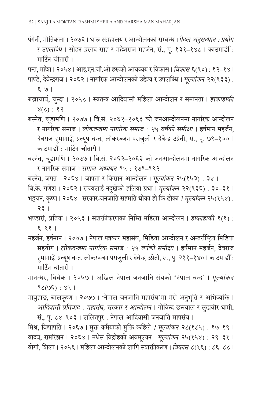पं गेनी, मोतिकला । २०७६ । थारू सं ग्रहालय र आन्दोलनको सम्बन्ध । *पैदल अनसुन्धान : प्रयोग*  र *उपलब्धि* । सोहन प्रसाद साह र महेशराज महर्जन, सं., पृ. १३१–१४८ । काठमाडौँ : मार्टिन चौतारी ।

पन्त, महेश । २०५४ । आइ.एन.जी.ओ हरूको आयव्यय र विकास । *विकास* ६(१०) : १२–१४ । पाण्डे, देवेन्द्रराज । २०६२ । नागरिक आन्दोलनको उद्देश्य र उपलब्धि । *मूल्यांकन २२*(१३३) : ६–७ ।

बज्राचार्य, चन्दा ु । २०५८ । स्वतन्त्र आदिवासी महिला आन्दोलन र समानता । *हाकाहाकी*  $8(2): 881$ 

बस्नेत, चूडामणि । २०७७ । वि.सं. २०६२–२०६३ को जनआन्दोलनमा नागरिक आन्दोलन र नागरिक समाज । *लोकतन्त्रमा नागरिक समाज : २५ वर्षको समीक्षा* । हर्षमान महर्जन, देवराज हुमागाई, प्रत्यूष वन्त, लोकरञ्जन पराजुली र देवेन्द्र उप्रेती, सं., पृ. ७९–१०० । काठमाडौ ँ : मार्टिन चौतारी ।

बस्नेत, चूडामणि । २०७७ । वि.सं. २०६२–२०६३ को जनआन्दोलनमा नागरिक आन्दोलन र नागरिक समाज । *समाज अध्ययन* १५ : १७१–१९२ ।

बस्नेत, जगत । २०६४ । जापता र किसान आन्दोलन । *मूल्यांकन २*५(१५३) : ३४ ।

बि.के. गणेश । २०६२ । राज्यलाई नदुखेको हलिया प्रथा । *मूल्यांकन* २२(१३६) : ३०–३१ । भट्टचन, कृष्ण । २०६४ । सरकार-जनजाति सहमति धोका हो कि ढोका ? *मूल्यांकन २*५(१५४) : २३ ।

भण्डारी, प्रतिक । २०५३ । सशक्तीकरणका निम्ति महिला आन्दोलन । *हाकाहाकी* १(१) : ६–११ ।

महर्जन, हर्षमान । २०७७ । नेपाल पत्रकार महासंघ, मिडिया आन्दोलन र अन्तर्राष्ट्रिय मिडिया सहयोग । *लोकतन्त्रमा नागरिक समाज : २५ वर्षको समीक्षा* । हर्षमान महर्जन, देवराज हुमागाई, प्रत्यूष वन्त, लोकरञ्जन पराजुली र देवेन्द्र उप्रेती, सं., पृ. २११–१४०। काठमाडौँ : मार्टिन चौतारी ।

मानन्धर, विवेक । २०५७ । अखिल नेपाल जनजाति सं घको 'नेपाल बन्द' । *मू ल्यां कन* १८(७६) : ४५ ।

माबुहाङ, बालकृष्ण । २०७७ । 'नेपाल जनजाति महासंघ'मा मेरो अनुभूति र अभिव्यक्ति । *आदिवासी प्रतिवाद : महासंघ, सरकार र आन्दोलन* । गोविन्द छन्त्याल र सुखवीर थामी,

सं., पृ. ८४–१०३ । ललितपुर : नेपाल आदिवासी जनजाति महासंघ ।

मिश्र, विद्यापति । २०६७ । मुक्त कमैयाको मुक्ति कहिले ? *मूल्यांकन* २८(१८५) : १७–१९ । यादव, रामरिझन । २०६४ । मधेस विद्रोहको अवमूल्यन । *मूल्यांकन २*५(१५४) : २९–३१ । योगी, शिला । २०५६ । महिला आन्दोलनको लागि सशक्तीकरण । *विकास* ८(१६) : ८६–८८ ।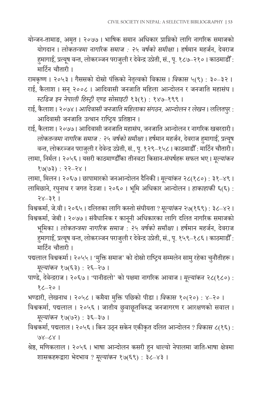योन्जन-तामाङ, अमृत । २०७७ । भाषिक समान अधिकार प्राप्तिको लागि नागरिक समाजको योगदान । *लोकतन्त्रमा नागरिक समाज : २५ वर्षको समीक्षा* । हर्षमान महर्जन, दवराज े हुमागाई, प्रत्यूष वन्त, लोकरञ्जन पराजुली र देवेन्द्र उप्रेती, सं., पृ. १८७–२१०। काठमाडौँ : मार्टिन चौतारी ।

रामकृष्ण । २०५३ । गैससको दोस्रो पं क्तिको नेततृ्वको विकास । *विकास* ५(९) : ३०–३२ ।

- राई, कैलाश । सन् २००८ । आदिवासी जनजाति महिला आन्दोलन र जनजाति महासंघ । *स्टडिज इन नेपाली हिस्ट्री एण्ड सोसाइटी* १३(१) : १४७–१९९ ।
- राई, कै लाश । २०७४ । *आदिवासी जनजाति महिलाका सं गठन, आन्दोलन र लेखन* । ललितपर : ु आदिवासी जनजाति उत्थान राष्ट्रिय प्रतिष्ठान ।

राई, कै लाश । २०७७ । आदिवासी जनजाति महासं घ, जनजाति आन्दोलन र नागरिक खबरदारी । लोकतन्त्रमा नागरिक समाज : २५ वर्षको समीक्षा । हर्षमान महर्जन, देवराज हुमागाई, प्रत्यूष वन्त, लोकरञ्जन पराजुली र देवेन्द्र उप्रेती, सं., पृ. १२९–१५८। काठमाडौँ : मार्टिन चौतारी।

लामा, निर्मल । २०५६ । यसरी काठमाण्डौँका तीनवटा किसान-संघर्षहरू सफल भए । *मूल्यांकन* १७(७३) : २२–२४ ।

लामा, मिलन । २०६७ । छापामारको जनआन्दोलन दैनिकी । *मल्ू यां कन* २८(१८०) : ३१–४९ ।

लामिछाने, रघुनाथ र जगत देउजा । २०६० । भूमि अधिकार आन्दोलन । *हाकाहाकी ६*(६) : २४–३१ ।

विश्वकर्मा, जे.वी। २०६५। दलितका लागि कस्तो संघीयता ? *मूल्यांकन २*७(१६९) : ३८–४२।

विश्वकर्मा, जेबी । २०७७ । संवैधानिक र कानूनी अधिकारका लागि दलित नागरिक समाजको भमिू का । *लोकतन्त्रमा नागरिक समाज* : *२५ वर्षको समीक्षा* । हर्षमान महर्जन, देवराज हुमागाई, प्रत्यूष वन्त, लोकरञ्जन पराजुली र देवेन्द्र उप्रेती, सं., पृ. १५९–१८६ । काठमाडौँ : मार्टिन चौतारी ।

- पद्मलाल विश्वकर्मा । २०५५ । 'मुक्ति समाज' को दोस्रो राष्ट्रिय सम्मलेन सामु रहेका चुनौतीहरू । ु *मूल्यांकन १*७(६३) : २६–२७ ।
- पाण्डे, देवेन्द्रराज । २०६७ । 'पानीढलो' को पक्षमा नागरिक आवाज । *मूल्यांकन २८*(१८०) : १८–२० ।

भण्डारी, लेखनाथ । २०५८ । कमैया मक्तिु पछिको पीडा । *विकास* १०(२०) : ४–२० ।

विश्वकर्मा, पद्मलाल । २०५६ । जातीय छुवाछूतविरुद्ध जनजागरण र आरक्षणको सवाल । *मूल्यांकन १*७(७२) : ३६–३७ ।

## विश्वकर्मा, पद्मलाल । २०५६ । किन उठ्न सकेन एकीकृत दलित आन्दोलन ? *विकास* ८(१६) : ७४–८४ ।

श्रेष्ठ, मणिकलाल । २०५६ । भाषा आन्दोलन कसरी हु न थाल्यो नेपालमा जाति-भाषा क्षेत्रमा शासकहरूद्वारा भेदभाव ? *मूल्यांकन* १७(६९) : ३८–४३ ।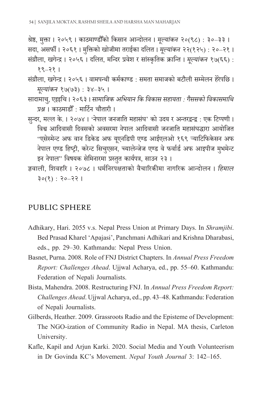श्रेष्ठ, मुक्ता । २०५९ । काठमाण्डौँको किसान आन्दोलन । *मूल्यांकन २०(*९८) : ३०–३३ । सदा, असर्फी । २०६१ । मुक्तिको खोजीमा तराईका दलित । *मूल्यांकन* २२(१२५) : २०–२१ । संग्रौला, खगेन्द्र । २०५६ । दलित, मन्दिर प्रवेश र सांस्कृतिक क्रान्ति । *मूल्यांकन १*७(६६) : १९–२१ ।

सं ग्रौला, खगेन्द्र । २०५६ । वामपन्थी कर्मकाण्ड : समता समाजको बटौली सम्मेलन हरेेपछि । *मूल्यांकन १*७(७३) : ३४–३५ ।

- सादामाच, एइइ ु चि । २०६३ । *सामाजिक अभियान कि विकास सहायता : गैससको विकासमाथि प्रश्न* । काठमाडौ ँ : मार्टिन चौतारी ।
- सुन्दर, मल्ल के. । २०७४ । 'नेपाल जनजाति महासंघ' को उदय र अन्तरद्वन्द्व : एक टिप्पणी । विश्व आदिवासी दिवसको अवसरमा नेपाल आदिवासी जनजाति महासं घद्धारा आयोजित "एसेस्मेन्ट अफ वान डिकेड अफ यूएनडिपी एण्ड आईएलओ १६९ ऱ्याटिफिकेसन अफ नेपाल एण्ड हिष्ट्री, करेन्ट सिचुएसन, च्यालेन्जेज एण्ड वे फर्वार्ड अफ आइपीज मुभमेन्ट इन नेपाल" विषयक सेमिनारमा प्रस्तुत कार्यपत्र, साउन २३ ।
- ज्ञवाली, शिवहरि । २०७८ । धर्मनिरपक्षताको वैचारिकीमा नागरिक आन्दोलन । *हिमाल* ३०(१) : २०–२२ ।

## PUBLIC SPHERE

- Adhikary, Hari. 2055 v.s. Nepal Press Union at Primary Days. In *Shramjibi*. Bed Prasad Kharel 'Apajasi', Panchmani Adhikari and Krishna Dharabasi, eds., pp. 29–30. Kathmandu: Nepal Press Union.
- Basnet, Purna. 2008. Role of FNJ District Chapters. In *Annual Press Freedom Report: Challenges Ahead*. Ujjwal Acharya, ed., pp. 55–60. Kathmandu: Federation of Nepali Journalists.
- Bista, Mahendra. 2008. Restructuring FNJ. In *Annual Press Freedom Report: Challenges Ahead*. Ujjwal Acharya, ed., pp. 43–48. Kathmandu: Federation of Nepali Journalists.
- Gilberds, Heather. 2009. Grassroots Radio and the Episteme of Development: The NGO-ization of Community Radio in Nepal. MA thesis, Carleton University.
- Kafle, Kapil and Arjun Karki. 2020. Social Media and Youth Volunteerism in Dr Govinda KC's Movement. *Nepal Youth Journal* 3: 142–165.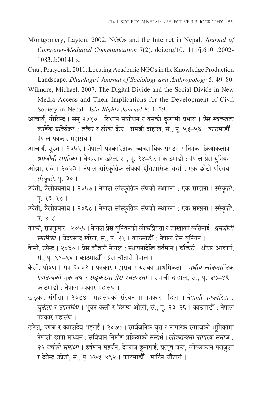- Montgomery, Layton. 2002. NGOs and the Internet in Nepal. *Journal of Computer-Mediated Communication* 7(2). doi.org/10.1111/j.6101.2002- 1083.tb00141.x.
- Onta, Pratyoush. 2011. Locating Academic NGOs in the Knowledge Production Landscape. *Dhaulagiri Journal of Sociology and Anthropology* 5: 49–80.
- Wilmore, Michael. 2007. The Digital Divide and the Social Divide in New Media Access and Their Implications for the Development of Civil Society in Nepal. *Asia Rights Journal* 8: 1–29.
- आचार्य, गोविन्द । सन् २०१० । विधान संशोधन र यसको दूरगामी प्रभाव । *प्रेस स्वतन्त्रता वार्षिक प्रतिवेदन : बाँच्न र लेख्न देऊ* । रामजी दाहाल, सं., पृ. ५३–५६ । काठमाडौँ : नेपाल पत्रकार <mark>महासंघ</mark> ।

आचार्य, सुरेश । २०५५ । नेपाली पत्रकारिताका व्यवसायिक संगठन र तिनका क्रियाकलाप । *श्रमजीवी स्मारिका* । वेदप्रसाद खरेल, सं., पृ. १४–१५ । काठमाडौँ : नेपाल प्रेस युनियन ।

- ओझा, रवि । २०५३ । नेपाल सांस्कृतिक संघको ऐतिहासिक चर्चा : एक छोटो परिचय । *सं स्कृति* , प. ३० । ृ
- उप्रेती, त्रैलोक्यनाथ । २०५७ । नेपाल सांस्कृतिक संघको स्थापना : एक सम्झना । *संस्कृति*, प. १३–१८ । ृ
- उप्रेती, त्रैलोक्यनाथ । २०६८ । नेपाल सांस्कृतिक संघको स्थापना : एक सम्झना । *संस्कृति*, प. ४–८ । ृ
- कार्की, राजकुमार । २०५५ । नेपाल प्रेस युनियनको लोकप्रियता र शाखाका कठिनाई । *श्रमजीवी स्मारिका* । वेदप्रसाद खरेल, सं., पृ. २१ । काठमाडौँ : नेपाल प्रेस युनियन ।
- केसी, उपेन्द्र । २०६७ । प्रेस चौतारी नेपाल : स्थापनादेखि वर्तमान । *चौतारी* । श्रीधर आचार्य, सं., पृ. ९१–९६ । काठमाडौँ : प्रेस चौतारी नेपाल ।
- केसी, पोषण । सन् २००९ । पत्रकार महासं घ र यसका प्राथमिकता । *सं घीय लोकतान्त्रिक गणतन्त्रको एक वर्ष : सङ्क*ट*मा प्रेस स्वतन्त्रता* । रामजी दाहाल, सं ., पृ. ४७–४९ । काठमाडौँ : नेपाल पत्रकार महासंघ <mark>।</mark>
- खड्का, सं गीता । २०७४ । महासं घको सं रचनामा पत्रकार महिला । *नेपाली पत्रकारिता : चुनौती र उपलब्धि* । भुवन केसी र हिरण्य ओली, सं., पृ. २३–२६ । काठमाडौँ : नेपाल पत्<mark>र</mark>कार महासंघ ।
- खरेल, प्रणब र कमलदेव भट्टराई । २०७७ । सार्वजनिक वृत्त र नागरिक समाजको भूमिकामा नेपाली छापा माध्यम : सं विधान निर्माण प्रक्रियाको सन्दर्भ । *लोकतन्त्रमा नागरिक समाज :*  २५ *वर्षको समीक्षा* । हर्षमान महर्जन, देवराज हुमागाई, प्रत्यूष वन्त, लोकरञ्जन पराजुली ।<br>। र देवेन्द्र उप्रेती, सं., पृ. ४७३–४९२ । काठमाडौँ : मार्टिन चौतारी ।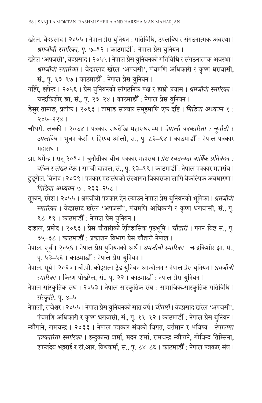- खरेल, वेदप्रसाद । २०५५ । नेपाल प्रेस युनियन : गतिविधि, उपलब्धि र संगठनात्मक अवस्था । *श्रमजीवी स्मारिका, पृ.* ७–१२ । काठमाडौँ : नेपाल प्रेस युनियन ।
- खरेल 'अपजसी', वेदप्रसाद । २०५५ । नेपाल प्रेस युनियनको गतिविधि र संगठनात्मक अवस्था । *श्रमजीवी स्मारिका* । वेदप्रसाद खरेल 'अपजसी', पं चमणि अधिकारी र कृष्ण धरावासी, सं., पृ. १३–१७ । काठमाडौँ : नेपाल प्रेस युनियन ।
- गहिरे, झपेन्द्र । २०५६ । प्रेस युनियनको सांगठनिक पक्ष र हाम्रो प्रयास । *श्रमजीवी स्मारिका* । चन्द्रकिशोर झा, सं., पृ. २३–२४ । काठमाडौँ : नेपाल प्रेस युनियन ।
- ङेसुर तामाङ, प्रतीक । २०६३ । तामाङ सञ्चार समूहमाथि एक दृष्टि । *मिडिया अध्ययन* १ : २०७–२२४ ।
- चौधरी, लक्की । २०७४ । पत्रकार सं घदेखि महासं घसम्म । *नेपाली पत्रकारिता : चु नौती र उपलब्धि* । भुवन केसी र हिरण्य ओली, सं., पृ. ८३–९४ । काठमाडौँ : नेपाल पत्रकार महासं घ ।

झा, धर्मेन्द्र । सन् २०१० । चुनौतीका बीच पत्रकार महासंघ । *प्रेस स्वतन्त्रता वार्षिक प्रतिवेदन : बाँच्न र लेख्न देऊ* । रामजी दाहाल, सं., पृ. १३–१९ । काठमाडौँ : नेपाल पत्रकार महासंघ ।

ढुङ्गेल, विनोद। २०६९। पत्रकार महासंघको संस्थागत विकासका लागि वैकल्पिक अवधारणा। *मिडिया अध्ययन* ७ : २३३–२५८ ।

- तूफान, रमेश । २०५५ । श्रमजीवी पत्रकार ऐन ल्याउन नेपाल प्रेस युनियनको भूमिका । *श्रमजीवी* स्*मारिका* । वेदप्रसाद खरेल 'अपजसी', पंचमणि अधिकारी र कृष्ण धरावासी, सं., पृ. १८–१९ । काठमाडौँ : नेपाल प्रेस युनियन ।
- दाहाल, प्रमोद । २०६३ । प्रेस चौतारीको ऐतिहासिक पृष्ठभूमि । *चौतारी* । गगन विष्ट सं., पृ. ३५–३८ । काठमाडौ ँ : प्रकाशन विभाग प्रेस चौतारी नेपाल ।

नेपाल, सूर्य । २०५६ । नेपाल प्रेस युनियनको अर्थ । *श्रमजीवी स्मारिका* । चन्द्रकिशोर झा, सं., पृ. ५३–५६ । काठमाडौँ : नेपाल प्रेस युनियन ।

- नेपाल, सूर्य । २०६० । बी.पी. कोइराला ट्रेड युनियन आन्दोलन र नेपाल प्रेस युनियन । *श्रमजीवी स्मारिका* । किरण पोखरेल, सं., पृ. २२ । काठमाडौँ : नेपाल प्रेस युनियन ।
- नेपाल सांस्कृतिक संघ । २०५३ । नेपाल सांस्कृतिक संघ : सामाजिक-सांस्कृतिक गतिविधि । *सं स्कृति* , प. ४–५ । ृ

नेपाली, राजेश्वर। २०५५। नेपाल प्रेस युनियनको सात वर्ष। *चौतारी*। वेदप्रसाद खरेल 'अपजसी', पंचमणि अधिकारी र कृष्ण धरावासी, सं., पृ. ११–१२ । काठमाडौँ : नेपाल प्रेस युनियन ।

न्यौपाने, रामचन्द्र । २०३३ । नेपाल पत्रकार सं घको विगत, वर्तमान र भविष्य । *नेपालमा पत्रकारिता स्मारिका* । इन्दुकान्त शर्मा, मदन शर्मा, रामचन्द्र न्यौपाने, गोविन्द तिम्सिना, शान्तदेव भट्टराई र टी.आर. विश्वकर्मा, सं., पृ. ८४–८६ । काठमाडौँ : नेपाल पत्रकार संघ ।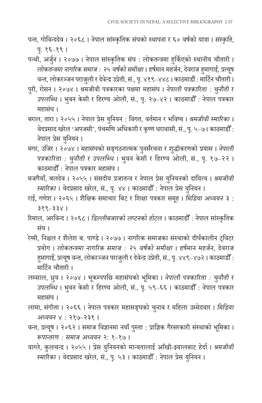- पन्त, गोविन्ददेव । २०६८ । नेपाल सांस्कृतिक संघको स्थापना र ६० वर्षको यात्रा । *संस्कृति*, प. १६–१९ । ृ
- पन्थी, अर्जुन । २०७७ । नेपाल सांस्कृतिक संघ : लोकतन्त्रमा हुर्किएको स्थानीय चौतारी । *लोकतन्त्रमा नागरिक समाज : २५ वर्षको समीक्षा* । हर्षमान महर्जन, देवराज हुमागाई, प्रत्यूष वन्त, लोकरञ्जन पराजुली र देवेन्द्र उप्रेती, सं., पृ. ४१९–४४८। काठमाडौं : मार्टिन चौतारी।
- पुरी, रोसन । २०७४ । श्रमजीवी पत्रकारका पक्षमा महासंघ । *नेपाली पत्रकारिता : चुनौती र उपलब्धि* । भुवन केसी र हिरण्य ओली, सं., पृ. २७–४२ । काठमाडौँ : नेपाल पत्रकार महासं घ ।
- बराल, तारा । २०५५ । नेपाल प्रेस युनियन : विगत, वर्तमान र भविष्य । *श्रमजीवी स्मारिका* । वेदप्रसाद खरेल 'अपजसी', पंचमणि अधिकारी र कृष्ण धरावासी, सं., पृ. ५–७। काठमाडौँ : नेपाल प्रेस युनियन ।
- मगर, उजिर । २०७४ । महासं घको सङ्गठनात्मक पनुर्संरचना र शद्ुधीकरणको प्रयास । *नेपाली पत्रकारिता : चुनौती र उपलब्धि* । भुवन केसी र हिरण्य ओली, सं., पृ. १७–२२ । काठमाडौँ : नेपाल पत्रकार महासंघ <mark>।</mark>
- मजगैयाँ, बलदेव । २०५५ । संसदीय प्रजातन्त्र र नेपाल प्रेस युनियनको दायित्व । *श्रमजीवी स्मारिका* । वेदप्रसाद खरेल, सं., पृ. ४४ । काठमाडौँ : नेपाल प्रेस युनियन ।
- राई, गणेश । २०६५ । शैक्षिक समाचार बिट र शिक्षा पत्रकार समह । ू *मिडिया अध्ययन* ३ : ३१९–३३४ ।
- रिमाल, अरविन्द । २०६८ । *डिल्लीबजारको लप्टनको होटल* । काठमाडौ ँ : नेपाल सां स्कृतिक सं घ ।
- रेग्मी, निश्चल र शैलेश ब. पाण्डे । २०७७ । नागरिक समाजका सं स्थाको दीर्घकालीन ट्विटर प्रयोग । *लोकतन्त्रमा नागरिक समाज : २५ वर्षको समीक्षा* । हर्षमान महर्जन, देवराज हुमागाई, प्रत्यूष वन्त, लोकरञ्जन पराजुली र देवेन्द्र उप्रेती, सं., पृ. ४४९–४७२। काठमाडौँ : मार्टिन चौतारी ।
- लम्साल, ध्रु व । २०७४ । भू कम्पपछि महासं घको भूमिका । *नेपाली पत्रकारिता : चु नौती र उपलब्धि* । भुवन केसी र हिरण्य ओली, सं., पृ. ५९–६६ । काठमाडौँ : नेपाल पत्रकार महासं घ ।
- लामा, संगीता । २०६६ । नेपाल पत्रकार महासङ्घको चुनाव र महिला उम्मेदवार । *मिडिया अध्ययन* ४ : २१७–२३१ ।
- वन्त, प्रत्यूष । २०६२ । समाज विज्ञानमा नयाँ पुस्ता : प्राज्ञिक गैरसरकारी संस्थाको भूमिका । *रूपान्तरण : समाज अध्ययन* २: १–१७ ।
- वाग्ले, कुलचन्द्र । २०५५ । प्रेस युनियनको मान्यतालाई आँखी-झ्यालबाट हेर्दा । *श्रमजीवी स्मारिका* । वेदप्रसाद खरेल, सं., पृ. ५३ । काठमाडौँ : नेपाल प्रेस युनियन ।